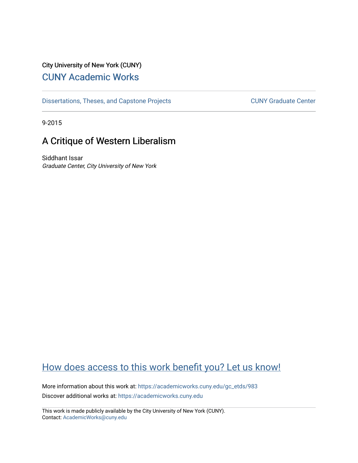# City University of New York (CUNY) [CUNY Academic Works](https://academicworks.cuny.edu/)

[Dissertations, Theses, and Capstone Projects](https://academicworks.cuny.edu/gc_etds) CUNY Graduate Center

9-2015

# A Critique of Western Liberalism

Siddhant Issar Graduate Center, City University of New York

# [How does access to this work benefit you? Let us know!](http://ols.cuny.edu/academicworks/?ref=https://academicworks.cuny.edu/gc_etds/983)

More information about this work at: [https://academicworks.cuny.edu/gc\\_etds/983](https://academicworks.cuny.edu/gc_etds/983)  Discover additional works at: [https://academicworks.cuny.edu](https://academicworks.cuny.edu/?)

This work is made publicly available by the City University of New York (CUNY). Contact: [AcademicWorks@cuny.edu](mailto:AcademicWorks@cuny.edu)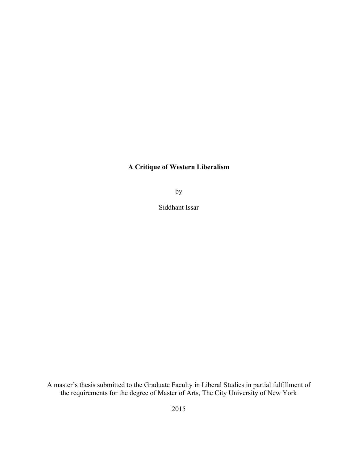## **A Critique of Western Liberalism**

by

Siddhant Issar

A master's thesis submitted to the Graduate Faculty in Liberal Studies in partial fulfillment of the requirements for the degree of Master of Arts, The City University of New York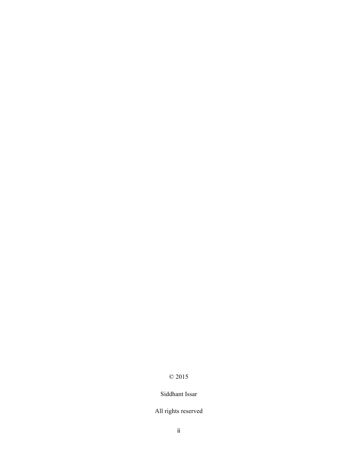# © 2015

## Siddhant Issar

## All rights reserved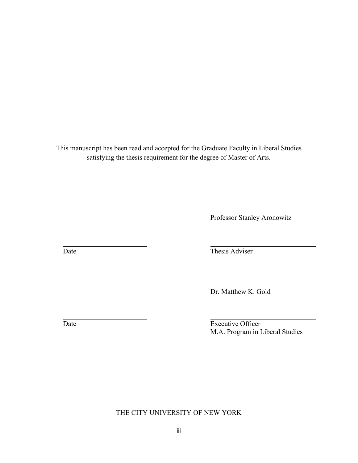This manuscript has been read and accepted for the Graduate Faculty in Liberal Studies satisfying the thesis requirement for the degree of Master of Arts.

Professor Stanley Aronowitz

Date Thesis Adviser

Dr. Matthew K. Gold

Date Executive Officer M.A. Program in Liberal Studies

THE CITY UNIVERSITY OF NEW YORK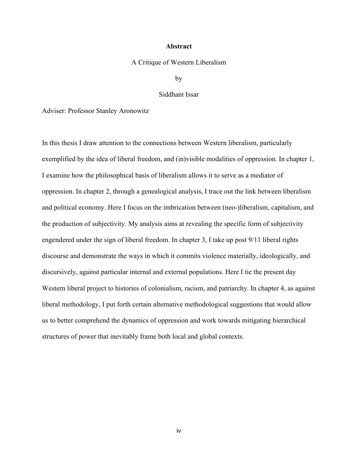#### **Abstract**

#### A Critique of Western Liberalism

by

#### Siddhant Issar

Adviser: Professor Stanley Aronowitz

In this thesis I draw attention to the connections between Western liberalism, particularly exemplified by the idea of liberal freedom, and (in)visible modalities of oppression. In chapter 1, I examine how the philosophical basis of liberalism allows it to serve as a mediator of oppression. In chapter 2, through a genealogical analysis, I trace out the link between liberalism and political economy. Here I focus on the imbrication between (neo-)liberalism, capitalism, and the production of subjectivity. My analysis aims at revealing the specific form of subjectivity engendered under the sign of liberal freedom. In chapter 3, I take up post 9/11 liberal rights discourse and demonstrate the ways in which it commits violence materially, ideologically, and discursively, against particular internal and external populations. Here I tie the present day Western liberal project to histories of colonialism, racism, and patriarchy. In chapter 4, as against liberal methodology, I put forth certain alternative methodological suggestions that would allow us to better comprehend the dynamics of oppression and work towards mitigating hierarchical structures of power that inevitably frame both local and global contexts.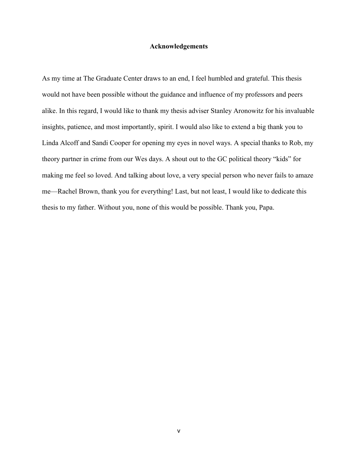#### **Acknowledgements**

As my time at The Graduate Center draws to an end, I feel humbled and grateful. This thesis would not have been possible without the guidance and influence of my professors and peers alike. In this regard, I would like to thank my thesis adviser Stanley Aronowitz for his invaluable insights, patience, and most importantly, spirit. I would also like to extend a big thank you to Linda Alcoff and Sandi Cooper for opening my eyes in novel ways. A special thanks to Rob, my theory partner in crime from our Wes days. A shout out to the GC political theory "kids" for making me feel so loved. And talking about love, a very special person who never fails to amaze me—Rachel Brown, thank you for everything! Last, but not least, I would like to dedicate this thesis to my father. Without you, none of this would be possible. Thank you, Papa.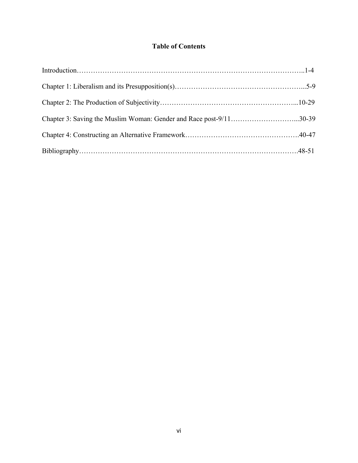# **Table of Contents**

| Chapter 3: Saving the Muslim Woman: Gender and Race post-9/1130-39 |  |
|--------------------------------------------------------------------|--|
|                                                                    |  |
|                                                                    |  |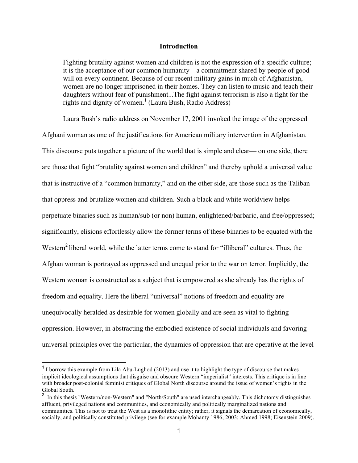#### **Introduction**

Fighting brutality against women and children is not the expression of a specific culture; it is the acceptance of our common humanity—a commitment shared by people of good will on every continent. Because of our recent military gains in much of Afghanistan, women are no longer imprisoned in their homes. They can listen to music and teach their daughters without fear of punishment...The fight against terrorism is also a fight for the rights and dignity of women.<sup>1</sup> (Laura Bush, Radio Address)

Laura Bush's radio address on November 17, 2001 invoked the image of the oppressed Afghani woman as one of the justifications for American military intervention in Afghanistan. This discourse puts together a picture of the world that is simple and clear— on one side, there are those that fight "brutality against women and children" and thereby uphold a universal value that is instructive of a "common humanity," and on the other side, are those such as the Taliban that oppress and brutalize women and children. Such a black and white worldview helps perpetuate binaries such as human/sub (or non) human, enlightened/barbaric, and free/oppressed; significantly, elisions effortlessly allow the former terms of these binaries to be equated with the Western<sup>2</sup> liberal world, while the latter terms come to stand for "illiberal" cultures. Thus, the Afghan woman is portrayed as oppressed and unequal prior to the war on terror. Implicitly, the Western woman is constructed as a subject that is empowered as she already has the rights of freedom and equality. Here the liberal "universal" notions of freedom and equality are unequivocally heralded as desirable for women globally and are seen as vital to fighting oppression. However, in abstracting the embodied existence of social individuals and favoring universal principles over the particular, the dynamics of oppression that are operative at the level

 $<sup>1</sup>$  I borrow this example from Lila Abu-Lughod (2013) and use it to highlight the type of discourse that makes</sup> implicit ideological assumptions that disguise and obscure Western "imperialist" interests. This critique is in line with broader post-colonial feminist critiques of Global North discourse around the issue of women's rights in the Global South.

<sup>&</sup>lt;sup>2</sup> In this thesis "Western/non-Western" and "North/South" are used interchangeably. This dichotomy distinguishes affluent, privileged nations and communities, and economically and politically marginalized nations and communities. This is not to treat the West as a monolithic entity; rather, it signals the demarcation of economically, socially, and politically constituted privilege (see for example Mohanty 1986, 2003; Ahmed 1998; Eisenstein 2009).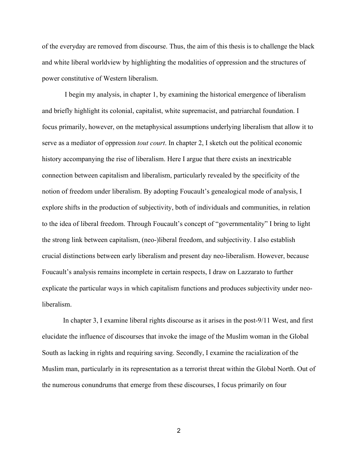of the everyday are removed from discourse. Thus, the aim of this thesis is to challenge the black and white liberal worldview by highlighting the modalities of oppression and the structures of power constitutive of Western liberalism.

I begin my analysis, in chapter 1, by examining the historical emergence of liberalism and briefly highlight its colonial, capitalist, white supremacist, and patriarchal foundation. I focus primarily, however, on the metaphysical assumptions underlying liberalism that allow it to serve as a mediator of oppression *tout court*. In chapter 2, I sketch out the political economic history accompanying the rise of liberalism. Here I argue that there exists an inextricable connection between capitalism and liberalism, particularly revealed by the specificity of the notion of freedom under liberalism. By adopting Foucault's genealogical mode of analysis, I explore shifts in the production of subjectivity, both of individuals and communities, in relation to the idea of liberal freedom. Through Foucault's concept of "governmentality" I bring to light the strong link between capitalism, (neo-)liberal freedom, and subjectivity. I also establish crucial distinctions between early liberalism and present day neo-liberalism. However, because Foucault's analysis remains incomplete in certain respects, I draw on Lazzarato to further explicate the particular ways in which capitalism functions and produces subjectivity under neoliberalism.

In chapter 3, I examine liberal rights discourse as it arises in the post-9/11 West, and first elucidate the influence of discourses that invoke the image of the Muslim woman in the Global South as lacking in rights and requiring saving. Secondly, I examine the racialization of the Muslim man, particularly in its representation as a terrorist threat within the Global North. Out of the numerous conundrums that emerge from these discourses, I focus primarily on four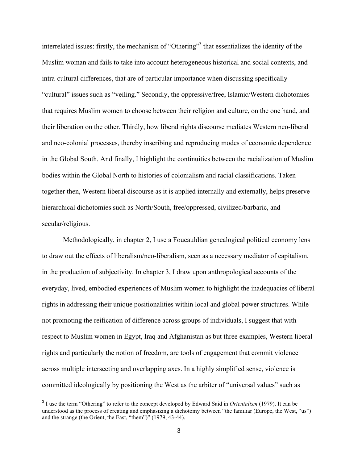interrelated issues: firstly, the mechanism of "Othering"<sup>3</sup> that essentializes the identity of the Muslim woman and fails to take into account heterogeneous historical and social contexts, and intra-cultural differences, that are of particular importance when discussing specifically "cultural" issues such as "veiling." Secondly, the oppressive/free, Islamic/Western dichotomies that requires Muslim women to choose between their religion and culture, on the one hand, and their liberation on the other. Thirdly, how liberal rights discourse mediates Western neo-liberal and neo-colonial processes, thereby inscribing and reproducing modes of economic dependence in the Global South. And finally, I highlight the continuities between the racialization of Muslim bodies within the Global North to histories of colonialism and racial classifications. Taken together then, Western liberal discourse as it is applied internally and externally, helps preserve hierarchical dichotomies such as North/South, free/oppressed, civilized/barbaric, and secular/religious.

Methodologically, in chapter 2, I use a Foucauldian genealogical political economy lens to draw out the effects of liberalism/neo-liberalism, seen as a necessary mediator of capitalism, in the production of subjectivity. In chapter 3, I draw upon anthropological accounts of the everyday, lived, embodied experiences of Muslim women to highlight the inadequacies of liberal rights in addressing their unique positionalities within local and global power structures. While not promoting the reification of difference across groups of individuals, I suggest that with respect to Muslim women in Egypt, Iraq and Afghanistan as but three examples, Western liberal rights and particularly the notion of freedom, are tools of engagement that commit violence across multiple intersecting and overlapping axes. In a highly simplified sense, violence is committed ideologically by positioning the West as the arbiter of "universal values" such as

 <sup>3</sup> I use the term "Othering" to refer to the concept developed by Edward Said in *Orientalism* (1979). It can be understood as the process of creating and emphasizing a dichotomy between "the familiar (Europe, the West, "us") and the strange (the Orient, the East, "them")" (1979, 43-44).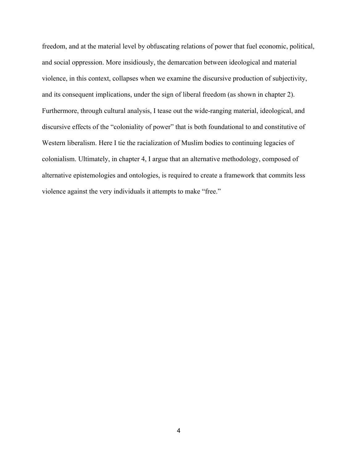freedom, and at the material level by obfuscating relations of power that fuel economic, political, and social oppression. More insidiously, the demarcation between ideological and material violence, in this context, collapses when we examine the discursive production of subjectivity, and its consequent implications, under the sign of liberal freedom (as shown in chapter 2). Furthermore, through cultural analysis, I tease out the wide-ranging material, ideological, and discursive effects of the "coloniality of power" that is both foundational to and constitutive of Western liberalism. Here I tie the racialization of Muslim bodies to continuing legacies of colonialism. Ultimately, in chapter 4, I argue that an alternative methodology, composed of alternative epistemologies and ontologies, is required to create a framework that commits less violence against the very individuals it attempts to make "free."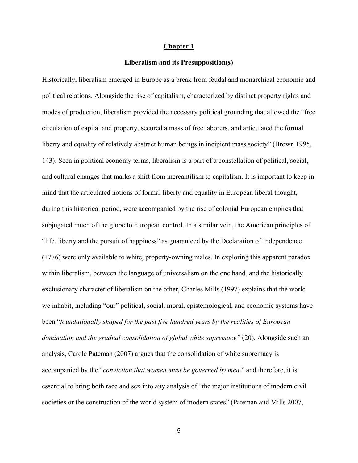#### **Chapter 1**

#### **Liberalism and its Presupposition(s)**

Historically, liberalism emerged in Europe as a break from feudal and monarchical economic and political relations. Alongside the rise of capitalism, characterized by distinct property rights and modes of production, liberalism provided the necessary political grounding that allowed the "free circulation of capital and property, secured a mass of free laborers, and articulated the formal liberty and equality of relatively abstract human beings in incipient mass society" (Brown 1995, 143). Seen in political economy terms, liberalism is a part of a constellation of political, social, and cultural changes that marks a shift from mercantilism to capitalism. It is important to keep in mind that the articulated notions of formal liberty and equality in European liberal thought, during this historical period, were accompanied by the rise of colonial European empires that subjugated much of the globe to European control. In a similar vein, the American principles of "life, liberty and the pursuit of happiness" as guaranteed by the Declaration of Independence (1776) were only available to white, property-owning males. In exploring this apparent paradox within liberalism, between the language of universalism on the one hand, and the historically exclusionary character of liberalism on the other, Charles Mills (1997) explains that the world we inhabit, including "our" political, social, moral, epistemological, and economic systems have been "*foundationally shaped for the past five hundred years by the realities of European*  domination and the gradual consolidation of global white supremacy" (20). Alongside such an analysis, Carole Pateman (2007) argues that the consolidation of white supremacy is accompanied by the "*conviction that women must be governed by men,*" and therefore, it is essential to bring both race and sex into any analysis of "the major institutions of modern civil societies or the construction of the world system of modern states" (Pateman and Mills 2007,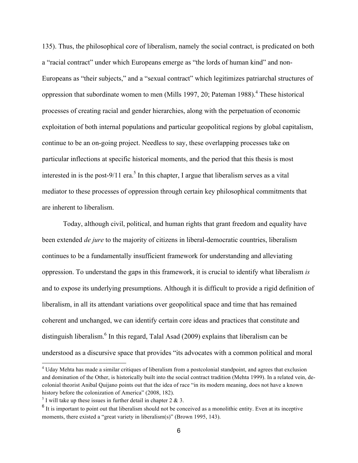135). Thus, the philosophical core of liberalism, namely the social contract, is predicated on both a "racial contract" under which Europeans emerge as "the lords of human kind" and non-Europeans as "their subjects," and a "sexual contract" which legitimizes patriarchal structures of oppression that subordinate women to men (Mills 1997, 20; Pateman 1988).<sup>4</sup> These historical processes of creating racial and gender hierarchies, along with the perpetuation of economic exploitation of both internal populations and particular geopolitical regions by global capitalism, continue to be an on-going project. Needless to say, these overlapping processes take on particular inflections at specific historical moments, and the period that this thesis is most interested in is the post-9/11 era.<sup>5</sup> In this chapter, I argue that liberalism serves as a vital mediator to these processes of oppression through certain key philosophical commitments that are inherent to liberalism.

Today, although civil, political, and human rights that grant freedom and equality have been extended *de jure* to the majority of citizens in liberal-democratic countries, liberalism continues to be a fundamentally insufficient framework for understanding and alleviating oppression. To understand the gaps in this framework, it is crucial to identify what liberalism *is*  and to expose its underlying presumptions. Although it is difficult to provide a rigid definition of liberalism, in all its attendant variations over geopolitical space and time that has remained coherent and unchanged, we can identify certain core ideas and practices that constitute and distinguish liberalism.<sup>6</sup> In this regard, Talal Asad (2009) explains that liberalism can be understood as a discursive space that provides "its advocates with a common political and moral

<sup>&</sup>lt;sup>4</sup> Uday Mehta has made a similar critiques of liberalism from a postcolonial standpoint, and agrees that exclusion and domination of the Other, is historically built into the social contract tradition (Mehta 1999). In a related vein, decolonial theorist Anibal Quijano points out that the idea of race "in its modern meaning, does not have a known history before the colonization of America" (2008, 182).

 $<sup>5</sup>$  I will take up these issues in further detail in chapter 2 & 3.</sup>

 $6$  It is important to point out that liberalism should not be conceived as a monolithic entity. Even at its inceptive moments, there existed a "great variety in liberalism(s)" (Brown 1995, 143).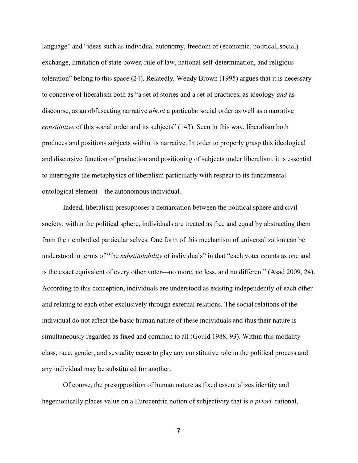language" and "ideas such as individual autonomy, freedom of (economic, political, social) exchange, limitation of state power, rule of law, national self-determination, and religious toleration" belong to this space (24). Relatedly, Wendy Brown (1995) argues that it is necessary to conceive of liberalism both as "a set of stories and a set of practices, as ideology *and* as discourse, as an obfuscating narrative *about* a particular social order as well as a narrative *constitutive* of this social order and its subjects" (143). Seen in this way, liberalism both produces and positions subjects within its narrative. In order to properly grasp this ideological and discursive function of production and positioning of subjects under liberalism, it is essential to interrogate the metaphysics of liberalism particularly with respect to its fundamental ontological element—the autonomous individual.

Indeed, liberalism presupposes a demarcation between the political sphere and civil society; within the political sphere, individuals are treated as free and equal by abstracting them from their embodied particular selves. One form of this mechanism of universalization can be understood in terms of "the *substitutability* of individuals" in that "each voter counts as one and is the exact equivalent of every other voter—no more, no less, and no different" (Asad 2009, 24). According to this conception, individuals are understood as existing independently of each other and relating to each other exclusively through external relations. The social relations of the individual do not affect the basic human nature of these individuals and thus their nature is simultaneously regarded as fixed and common to all (Gould 1988, 93). Within this modality class, race, gender, and sexuality cease to play any constitutive role in the political process and any individual may be substituted for another.

Of course, the presupposition of human nature as fixed essentializes identity and hegemonically places value on a Eurocentric notion of subjectivity that is *a priori,* rational,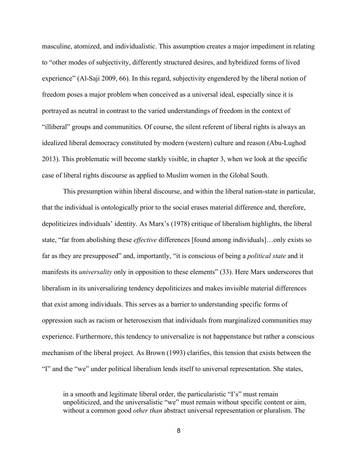masculine, atomized, and individualistic. This assumption creates a major impediment in relating to "other modes of subjectivity, differently structured desires, and hybridized forms of lived experience" (Al-Saji 2009, 66). In this regard, subjectivity engendered by the liberal notion of freedom poses a major problem when conceived as a universal ideal, especially since it is portrayed as neutral in contrast to the varied understandings of freedom in the context of "illiberal" groups and communities. Of course, the silent referent of liberal rights is always an idealized liberal democracy constituted by modern (western) culture and reason (Abu-Lughod 2013). This problematic will become starkly visible, in chapter 3, when we look at the specific case of liberal rights discourse as applied to Muslim women in the Global South.

This presumption within liberal discourse, and within the liberal nation-state in particular, that the individual is ontologically prior to the social erases material difference and, therefore, depoliticizes individuals' identity. As Marx's (1978) critique of liberalism highlights, the liberal state, "far from abolishing these *effective* differences [found among individuals]…only exists so far as they are presupposed" and, importantly, "it is conscious of being a *political state* and it manifests its *universality* only in opposition to these elements" (33). Here Marx underscores that liberalism in its universalizing tendency depoliticizes and makes invisible material differences that exist among individuals. This serves as a barrier to understanding specific forms of oppression such as racism or heterosexism that individuals from marginalized communities may experience. Furthermore, this tendency to universalize is not happenstance but rather a conscious mechanism of the liberal project. As Brown (1993) clarifies, this tension that exists between the "I" and the "we" under political liberalism lends itself to universal representation. She states,

in a smooth and legitimate liberal order, the particularistic "I's" must remain unpoliticized, and the universalistic "we" must remain without specific content or aim, without a common good *other than* abstract universal representation or pluralism. The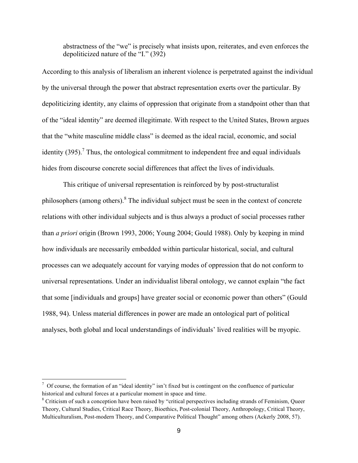abstractness of the "we" is precisely what insists upon, reiterates, and even enforces the depoliticized nature of the "I." (392)

According to this analysis of liberalism an inherent violence is perpetrated against the individual by the universal through the power that abstract representation exerts over the particular. By depoliticizing identity, any claims of oppression that originate from a standpoint other than that of the "ideal identity" are deemed illegitimate. With respect to the United States, Brown argues that the "white masculine middle class" is deemed as the ideal racial, economic, and social identity  $(395)$ .<sup>7</sup> Thus, the ontological commitment to independent free and equal individuals hides from discourse concrete social differences that affect the lives of individuals.

This critique of universal representation is reinforced by by post-structuralist philosophers (among others).<sup>8</sup> The individual subject must be seen in the context of concrete relations with other individual subjects and is thus always a product of social processes rather than *a priori* origin (Brown 1993, 2006; Young 2004; Gould 1988). Only by keeping in mind how individuals are necessarily embedded within particular historical, social, and cultural processes can we adequately account for varying modes of oppression that do not conform to universal representations. Under an individualist liberal ontology, we cannot explain "the fact that some [individuals and groups] have greater social or economic power than others" (Gould 1988, 94). Unless material differences in power are made an ontological part of political analyses, both global and local understandings of individuals' lived realities will be myopic.

 $\frac{7}{1}$  Of course, the formation of an "ideal identity" isn't fixed but is contingent on the confluence of particular historical and cultural forces at a particular moment in space and time.

<sup>&</sup>lt;sup>8</sup> Criticism of such a conception have been raised by "critical perspectives including strands of Feminism, Queer Theory, Cultural Studies, Critical Race Theory, Bioethics, Post-colonial Theory, Anthropology, Critical Theory, Multiculturalism, Post-modern Theory, and Comparative Political Thought" among others (Ackerly 2008, 57).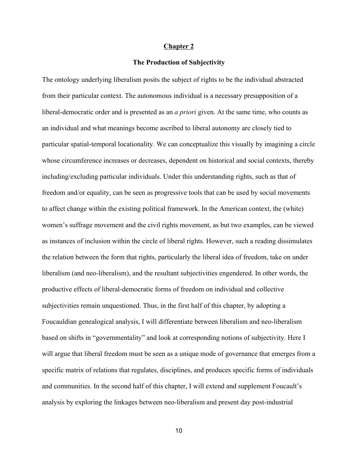### **Chapter 2**

#### **The Production of Subjectivity**

The ontology underlying liberalism posits the subject of rights to be the individual abstracted from their particular context. The autonomous individual is a necessary presupposition of a liberal-democratic order and is presented as an *a priori* given. At the same time, who counts as an individual and what meanings become ascribed to liberal autonomy are closely tied to particular spatial-temporal locationality. We can conceptualize this visually by imagining a circle whose circumference increases or decreases, dependent on historical and social contexts, thereby including/excluding particular individuals. Under this understanding rights, such as that of freedom and/or equality, can be seen as progressive tools that can be used by social movements to affect change within the existing political framework. In the American context, the (white) women's suffrage movement and the civil rights movement, as but two examples, can be viewed as instances of inclusion within the circle of liberal rights. However, such a reading dissimulates the relation between the form that rights, particularly the liberal idea of freedom, take on under liberalism (and neo-liberalism), and the resultant subjectivities engendered. In other words, the productive effects of liberal-democratic forms of freedom on individual and collective subjectivities remain unquestioned. Thus, in the first half of this chapter, by adopting a Foucauldian genealogical analysis, I will differentiate between liberalism and neo-liberalism based on shifts in "governmentality" and look at corresponding notions of subjectivity. Here I will argue that liberal freedom must be seen as a unique mode of governance that emerges from a specific matrix of relations that regulates, disciplines, and produces specific forms of individuals and communities. In the second half of this chapter, I will extend and supplement Foucault's analysis by exploring the linkages between neo-liberalism and present day post-industrial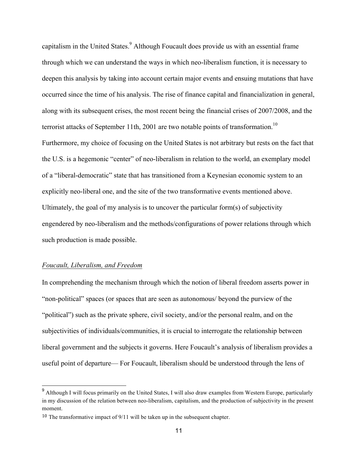capitalism in the United States.<sup>9</sup> Although Foucault does provide us with an essential frame through which we can understand the ways in which neo-liberalism function, it is necessary to deepen this analysis by taking into account certain major events and ensuing mutations that have occurred since the time of his analysis. The rise of finance capital and financialization in general, along with its subsequent crises, the most recent being the financial crises of 2007/2008, and the terrorist attacks of September 11th, 2001 are two notable points of transformation.<sup>10</sup> Furthermore, my choice of focusing on the United States is not arbitrary but rests on the fact that the U.S. is a hegemonic "center" of neo-liberalism in relation to the world, an exemplary model of a "liberal-democratic" state that has transitioned from a Keynesian economic system to an explicitly neo-liberal one, and the site of the two transformative events mentioned above. Ultimately, the goal of my analysis is to uncover the particular form(s) of subjectivity engendered by neo-liberalism and the methods/configurations of power relations through which such production is made possible.

### *Foucault, Liberalism, and Freedom*

In comprehending the mechanism through which the notion of liberal freedom asserts power in "non-political" spaces (or spaces that are seen as autonomous/ beyond the purview of the "political") such as the private sphere, civil society, and/or the personal realm, and on the subjectivities of individuals/communities, it is crucial to interrogate the relationship between liberal government and the subjects it governs. Here Foucault's analysis of liberalism provides a useful point of departure— For Foucault, liberalism should be understood through the lens of

 <sup>9</sup> Although I will focus primarily on the United States, I will also draw examples from Western Europe, particularly in my discussion of the relation between neo-liberalism, capitalism, and the production of subjectivity in the present moment.

<sup>10</sup> The transformative impact of 9/11 will be taken up in the subsequent chapter.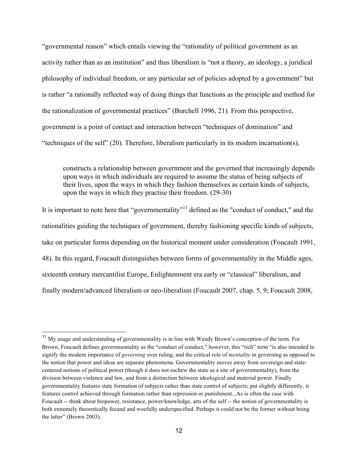"governmental reason" which entails viewing the "rationality of political government as an activity rather than as an institution" and thus liberalism is "not a theory, an ideology, a juridical philosophy of individual freedom, or any particular set of policies adopted by a government" but is rather "a rationally reflected way of doing things that functions as the principle and method for the rationalization of governmental practices" (Burchell 1996, 21). From this perspective, government is a point of contact and interaction between "techniques of domination" and "techniques of the self" (20). Therefore, liberalism particularly in its modern incarnation(s),

constructs a relationship between government and the governed that increasingly depends upon ways in which individuals are required to assume the status of being subjects of their lives, upon the ways in which they fashion themselves as certain kinds of subjects, upon the ways in which they practise their freedom. (29-30)

It is important to note here that "governmentality"<sup>11</sup> defined as the "conduct of conduct," and the rationalities guiding the techniques of government, thereby fashioning specific kinds of subjects, take on particular forms depending on the historical moment under consideration (Foucault 1991, 48). In this regard, Foucault distinguishes between forms of governmentality in the Middle ages, sixteenth century mercantilist Europe, Enlightenment era early or "classical" liberalism, and finally modern/advanced liberalism or neo-liberalism (Foucault 2007, chap. 5, 9; Foucault 2008,

<sup>&</sup>lt;sup>11</sup> My usage and understanding of governmentality is in line with Wendy Brown's conception of the term. For Brown, Foucault defines governmentality as the "conduct of conduct," however, this "rich" term "is also intended to signify the modern importance of *governing* over ruling, and the critical role of *mentality* in governing as opposed to the notion that power and ideas are separate phenomena. Governmentality moves away from sovereign and statecentered notions of political power (though it does not eschew the state as a site of governmentality), from the division between violence and law, and from a distinction between ideological and material power. Finally governmentality features state formation of subjects rather than state control of subjects; put slightly differently, it features control achieved through formation rather than repression or punishment...As is often the case with Foucault -- think about biopower, resistance, power/knowledge, arts of the self -- the notion of governmentality is both extremely theoretically fecund and woefully underspecified. Perhaps it could not be the former without being the latter" (Brown 2003).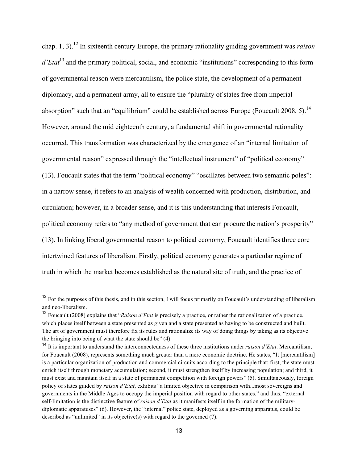chap. 1, 3).<sup>12</sup> In sixteenth century Europe, the primary rationality guiding government was *raison d'Etat*<sup>13</sup> and the primary political, social, and economic "institutions" corresponding to this form of governmental reason were mercantilism, the police state, the development of a permanent diplomacy, and a permanent army, all to ensure the "plurality of states free from imperial absorption" such that an "equilibrium" could be established across Europe (Foucault 2008, 5).<sup>14</sup> However, around the mid eighteenth century, a fundamental shift in governmental rationality occurred. This transformation was characterized by the emergence of an "internal limitation of governmental reason" expressed through the "intellectual instrument" of "political economy" (13). Foucault states that the term "political economy" "oscillates between two semantic poles": in a narrow sense, it refers to an analysis of wealth concerned with production, distribution, and circulation; however, in a broader sense, and it is this understanding that interests Foucault, political economy refers to "any method of government that can procure the nation's prosperity" (13). In linking liberal governmental reason to political economy, Foucault identifies three core intertwined features of liberalism. Firstly, political economy generates a particular regime of truth in which the market becomes established as the natural site of truth, and the practice of

<sup>&</sup>lt;sup>12</sup> For the purposes of this thesis, and in this section, I will focus primarily on Foucault's understanding of liberalism and neo-liberalism.

<sup>13</sup> Foucault (2008) explains that "*Raison d'Etat* is precisely a practice, or rather the rationalization of a practice, which places itself between a state presented as given and a state presented as having to be constructed and built. The art of government must therefore fix its rules and rationalize its way of doing things by taking as its objective the bringing into being of what the state should be" (4).

<sup>14</sup> It is important to understand the interconnectedness of these three institutions under *raison d'Etat*. Mercantilism, for Foucault (2008), represents something much greater than a mere economic doctrine. He states, "It [mercantilism] is a particular organization of production and commercial circuits according to the principle that: first, the state must enrich itself through monetary accumulation; second, it must strengthen itself by increasing population; and third, it must exist and maintain itself in a state of permanent competition with foreign powers" (5). Simultaneously, foreign policy of states guided by *raison d'Etat*, exhibits "a limited objective in comparison with...most sovereigns and governments in the Middle Ages to occupy the imperial position with regard to other states," and thus, "external self-limitation is the distinctive feature of *raison d'Etat* as it manifests itself in the formation of the militarydiplomatic apparatuses" (6). However, the "internal" police state, deployed as a governing apparatus, could be described as "unlimited" in its objective(s) with regard to the governed (7).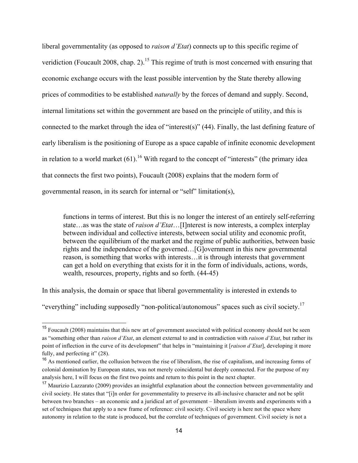liberal governmentality (as opposed to *raison d'Etat*) connects up to this specific regime of veridiction (Foucault 2008, chap. 2).<sup>15</sup> This regime of truth is most concerned with ensuring that economic exchange occurs with the least possible intervention by the State thereby allowing prices of commodities to be established *naturally* by the forces of demand and supply. Second, internal limitations set within the government are based on the principle of utility, and this is connected to the market through the idea of "interest(s)" (44). Finally, the last defining feature of early liberalism is the positioning of Europe as a space capable of infinite economic development in relation to a world market  $(61)$ .<sup>16</sup> With regard to the concept of "interests" (the primary idea that connects the first two points), Foucault (2008) explains that the modern form of governmental reason, in its search for internal or "self" limitation(s),

functions in terms of interest. But this is no longer the interest of an entirely self-referring state…as was the state of *raison d'Etat*…[I]nterest is now interests, a complex interplay between individual and collective interests, between social utility and economic profit, between the equilibrium of the market and the regime of public authorities, between basic rights and the independence of the governed…[G]overnment in this new governmental reason, is something that works with interests…it is through interests that government can get a hold on everything that exists for it in the form of individuals, actions, words, wealth, resources, property, rights and so forth. (44-45)

In this analysis, the domain or space that liberal governmentality is interested in extends to

"everything" including supposedly "non-political/autonomous" spaces such as civil society.17

<sup>&</sup>lt;sup>15</sup> Foucault (2008) maintains that this new art of government associated with political economy should not be seen as "something other than *raison d'Etat*, an element external to and in contradiction with *raison d'Etat*, but rather its point of inflection in the curve of its development" that helps in "maintaining it [*raison d'Etat*], developing it more fully, and perfecting it" (28).

<sup>&</sup>lt;sup>16</sup> As mentioned earlier, the collusion between the rise of liberalism, the rise of capitalism, and increasing forms of colonial domination by European states, was not merely coincidental but deeply connected. For the purpose of my analysis here, I will focus on the first two points and return to this point in the next chapter.

<sup>&</sup>lt;sup>17</sup> Maurizio Lazzarato (2009) provides an insightful explanation about the connection between governmentality and civil society. He states that "[i]n order for governmentality to preserve its all-inclusive character and not be split between two branches – an economic and a juridical art of government – liberalism invents and experiments with a set of techniques that apply to a new frame of reference: civil society. Civil society is here not the space where autonomy in relation to the state is produced, but the correlate of techniques of government. Civil society is not a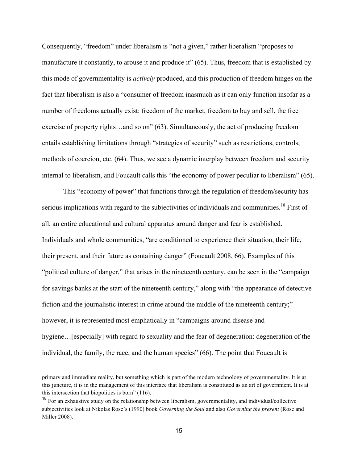Consequently, "freedom" under liberalism is "not a given," rather liberalism "proposes to manufacture it constantly, to arouse it and produce it" (65). Thus, freedom that is established by this mode of governmentality is *actively* produced, and this production of freedom hinges on the fact that liberalism is also a "consumer of freedom inasmuch as it can only function insofar as a number of freedoms actually exist: freedom of the market, freedom to buy and sell, the free exercise of property rights…and so on" (63). Simultaneously, the act of producing freedom entails establishing limitations through "strategies of security" such as restrictions, controls, methods of coercion, etc. (64). Thus, we see a dynamic interplay between freedom and security internal to liberalism, and Foucault calls this "the economy of power peculiar to liberalism" (65).

This "economy of power" that functions through the regulation of freedom/security has serious implications with regard to the subjectivities of individuals and communities.<sup>18</sup> First of all, an entire educational and cultural apparatus around danger and fear is established. Individuals and whole communities, "are conditioned to experience their situation, their life, their present, and their future as containing danger" (Foucault 2008, 66). Examples of this "political culture of danger," that arises in the nineteenth century, can be seen in the "campaign for savings banks at the start of the nineteenth century," along with "the appearance of detective fiction and the journalistic interest in crime around the middle of the nineteenth century;" however, it is represented most emphatically in "campaigns around disease and hygiene... [especially] with regard to sexuality and the fear of degeneration: degeneration of the individual, the family, the race, and the human species" (66). The point that Foucault is

primary and immediate reality, but something which is part of the modern technology of governmentality. It is at this juncture, it is in the management of this interface that liberalism is constituted as an art of government. It is at this intersection that biopolitics is born" (116).

<sup>&</sup>lt;sup>18</sup> For an exhaustive study on the relationship between liberalism, governmentality, and individual/collective subjectivities look at Nikolas Rose's (1990) book *Governing the Soul* and also *Governing the present* (Rose and Miller 2008).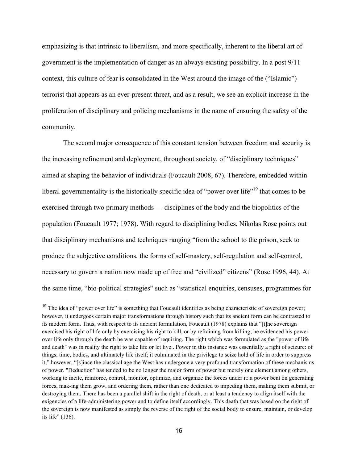emphasizing is that intrinsic to liberalism, and more specifically, inherent to the liberal art of government is the implementation of danger as an always existing possibility. In a post 9/11 context, this culture of fear is consolidated in the West around the image of the ("Islamic") terrorist that appears as an ever-present threat, and as a result, we see an explicit increase in the proliferation of disciplinary and policing mechanisms in the name of ensuring the safety of the community.

The second major consequence of this constant tension between freedom and security is the increasing refinement and deployment, throughout society, of "disciplinary techniques" aimed at shaping the behavior of individuals (Foucault 2008, 67). Therefore, embedded within liberal governmentality is the historically specific idea of "power over life"<sup>19</sup> that comes to be exercised through two primary methods — disciplines of the body and the biopolitics of the population (Foucault 1977; 1978). With regard to disciplining bodies, Nikolas Rose points out that disciplinary mechanisms and techniques ranging "from the school to the prison, seek to produce the subjective conditions, the forms of self-mastery, self-regulation and self-control, necessary to govern a nation now made up of free and "civilized" citizens" (Rose 1996, 44). At the same time, "bio-political strategies" such as "statistical enquiries, censuses, programmes for

<sup>&</sup>lt;sup>19</sup> The idea of "power over life" is something that Foucault identifies as being characteristic of sovereign power; however, it undergoes certain major transformations through history such that its ancient form can be contrasted to its modern form. Thus, with respect to its ancient formulation, Foucault (1978) explains that "[t]he sovereign exercised his right of life only by exercising his right to kill, or by refraining from killing; he evidenced his power over life only through the death he was capable of requiring. The right which was formulated as the "power of life and death" was in reality the right to take life or let live...Power in this instance was essentially a right of seizure: of things, time, bodies, and ultimately life itself; it culminated in the privilege to seize hold of life in order to suppress it;" however, "[s]ince the classical age the West has undergone a very profound transformation of these mechanisms of power. "Deduction" has tended to be no longer the major form of power but merely one element among others, working to incite, reinforce, control, monitor, optimize, and organize the forces under it: a power bent on generating forces, mak-ing them grow, and ordering them, rather than one dedicated to impeding them, making them submit, or destroying them. There has been a parallel shift in the right of death, or at least a tendency to align itself with the exigencies of a life-administering power and to define itself accordingly. This death that was based on the right of the sovereign is now manifested as simply the reverse of the right of the social body to ensure, maintain, or develop its life" (136).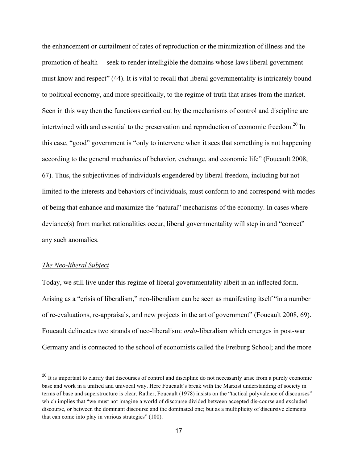the enhancement or curtailment of rates of reproduction or the minimization of illness and the promotion of health— seek to render intelligible the domains whose laws liberal government must know and respect" (44). It is vital to recall that liberal governmentality is intricately bound to political economy, and more specifically, to the regime of truth that arises from the market. Seen in this way then the functions carried out by the mechanisms of control and discipline are intertwined with and essential to the preservation and reproduction of economic freedom.<sup>20</sup> In this case, "good" government is "only to intervene when it sees that something is not happening according to the general mechanics of behavior, exchange, and economic life" (Foucault 2008, 67). Thus, the subjectivities of individuals engendered by liberal freedom, including but not limited to the interests and behaviors of individuals, must conform to and correspond with modes of being that enhance and maximize the "natural" mechanisms of the economy. In cases where deviance(s) from market rationalities occur, liberal governmentality will step in and "correct" any such anomalies.

#### *The Neo-liberal Subject*

Today, we still live under this regime of liberal governmentality albeit in an inflected form. Arising as a "crisis of liberalism," neo-liberalism can be seen as manifesting itself "in a number of re-evaluations, re-appraisals, and new projects in the art of government" (Foucault 2008, 69). Foucault delineates two strands of neo-liberalism: *ordo-*liberalism which emerges in post-war Germany and is connected to the school of economists called the Freiburg School; and the more

<sup>&</sup>lt;sup>20</sup> It is important to clarify that discourses of control and discipline do not necessarily arise from a purely economic base and work in a unified and univocal way. Here Foucault's break with the Marxist understanding of society in terms of base and superstructure is clear. Rather, Foucault (1978) insists on the "tactical polyvalence of discourses" which implies that "we must not imagine a world of discourse divided between accepted dis-course and excluded discourse, or between the dominant discourse and the dominated one; but as a multiplicity of discursive elements that can come into play in various strategies" (100).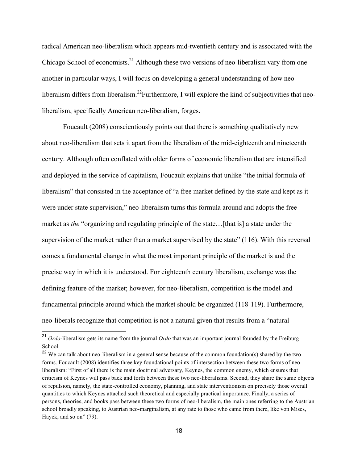radical American neo-liberalism which appears mid-twentieth century and is associated with the Chicago School of economists.<sup>21</sup> Although these two versions of neo-liberalism vary from one another in particular ways, I will focus on developing a general understanding of how neoliberalism differs from liberalism.<sup>22</sup>Furthermore, I will explore the kind of subjectivities that neoliberalism, specifically American neo-liberalism, forges.

Foucault (2008) conscientiously points out that there is something qualitatively new about neo-liberalism that sets it apart from the liberalism of the mid-eighteenth and nineteenth century. Although often conflated with older forms of economic liberalism that are intensified and deployed in the service of capitalism, Foucault explains that unlike "the initial formula of liberalism" that consisted in the acceptance of "a free market defined by the state and kept as it were under state supervision," neo-liberalism turns this formula around and adopts the free market as *the* "organizing and regulating principle of the state…[that is] a state under the supervision of the market rather than a market supervised by the state" (116). With this reversal comes a fundamental change in what the most important principle of the market is and the precise way in which it is understood. For eighteenth century liberalism, exchange was the defining feature of the market; however, for neo-liberalism, competition is the model and fundamental principle around which the market should be organized (118-119). Furthermore, neo-liberals recognize that competition is not a natural given that results from a "natural

 <sup>21</sup> *Ordo*-liberalism gets its name from the journal *Ordo* that was an important journal founded by the Freiburg School.

<sup>&</sup>lt;sup>22</sup> We can talk about neo-liberalism in a general sense because of the common foundation(s) shared by the two forms. Foucault (2008) identifies three key foundational points of intersection between these two forms of neoliberalism: "First of all there is the main doctrinal adversary, Keynes, the common enemy, which ensures that criticism of Keynes will pass back and forth between these two neo-liberalisms. Second, they share the same objects of repulsion, namely, the state-controlled economy, planning, and state interventionism on precisely those overall quantities to which Keynes attached such theoretical and especially practical importance. Finally, a series of persons, theories, and books pass between these two forms of neo-liberalism, the main ones referring to the Austrian school broadly speaking, to Austrian neo-marginalism, at any rate to those who came from there, like von Mises, Hayek, and so on" (79).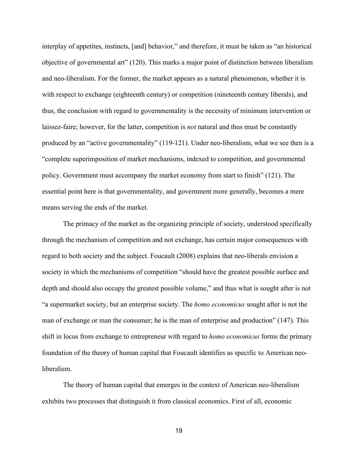interplay of appetites, instincts, [and] behavior," and therefore, it must be taken as "an historical objective of governmental art" (120). This marks a major point of distinction between liberalism and neo-liberalism. For the former, the market appears as a natural phenomenon, whether it is with respect to exchange (eighteenth century) or competition (nineteenth century liberals), and thus, the conclusion with regard to governmentality is the necessity of minimum intervention or laissez-faire; however, for the latter, competition is *not* natural and thus must be constantly produced by an "active governmentality" (119-121). Under neo-liberalism, what we see then is a "complete superimposition of market mechanisms, indexed to competition, and governmental policy. Government must accompany the market economy from start to finish" (121). The essential point here is that governmentality, and government more generally, becomes a mere means serving the ends of the market.

The primacy of the market as the organizing principle of society, understood specifically through the mechanism of competition and not exchange, has certain major consequences with regard to both society and the subject. Foucault (2008) explains that neo-liberals envision a society in which the mechanisms of competition "should have the greatest possible surface and depth and should also occupy the greatest possible volume," and thus what is sought after is not "a supermarket society, but an enterprise society. The *homo economicus* sought after is not the man of exchange or man the consumer; he is the man of enterprise and production" (147). This shift in locus from exchange to entrepreneur with regard to *homo economicus* forms the primary foundation of the theory of human capital that Foucault identifies as specific to American neoliberalism.

The theory of human capital that emerges in the context of American neo-liberalism exhibits two processes that distinguish it from classical economics. First of all, economic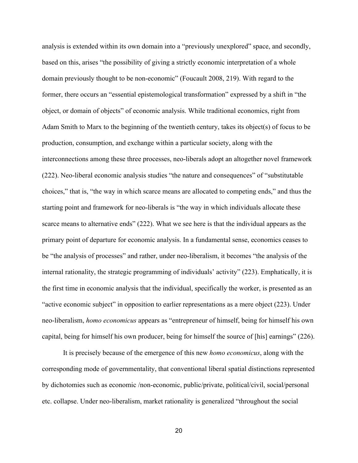analysis is extended within its own domain into a "previously unexplored" space, and secondly, based on this, arises "the possibility of giving a strictly economic interpretation of a whole domain previously thought to be non-economic" (Foucault 2008, 219). With regard to the former, there occurs an "essential epistemological transformation" expressed by a shift in "the object, or domain of objects" of economic analysis. While traditional economics, right from Adam Smith to Marx to the beginning of the twentieth century, takes its object(s) of focus to be production, consumption, and exchange within a particular society, along with the interconnections among these three processes, neo-liberals adopt an altogether novel framework (222). Neo-liberal economic analysis studies "the nature and consequences" of "substitutable choices," that is, "the way in which scarce means are allocated to competing ends," and thus the starting point and framework for neo-liberals is "the way in which individuals allocate these scarce means to alternative ends" (222). What we see here is that the individual appears as the primary point of departure for economic analysis. In a fundamental sense, economics ceases to be "the analysis of processes" and rather, under neo-liberalism, it becomes "the analysis of the internal rationality, the strategic programming of individuals' activity" (223). Emphatically, it is the first time in economic analysis that the individual, specifically the worker, is presented as an "active economic subject" in opposition to earlier representations as a mere object (223). Under neo-liberalism, *homo economicus* appears as "entrepreneur of himself, being for himself his own capital, being for himself his own producer, being for himself the source of [his] earnings" (226).

It is precisely because of the emergence of this new *homo economicus*, along with the corresponding mode of governmentality, that conventional liberal spatial distinctions represented by dichotomies such as economic /non-economic, public/private, political/civil, social/personal etc. collapse. Under neo-liberalism, market rationality is generalized "throughout the social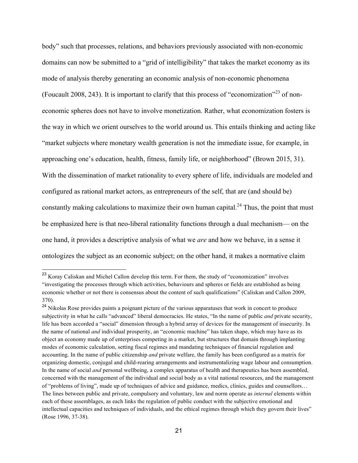body" such that processes, relations, and behaviors previously associated with non-economic domains can now be submitted to a "grid of intelligibility" that takes the market economy as its mode of analysis thereby generating an economic analysis of non-economic phenomena (Foucault 2008, 243). It is important to clarify that this process of "economization"<sup>23</sup> of noneconomic spheres does not have to involve monetization. Rather, what economization fosters is the way in which we orient ourselves to the world around us. This entails thinking and acting like "market subjects where monetary wealth generation is not the immediate issue, for example, in approaching one's education, health, fitness, family life, or neighborhood" (Brown 2015, 31). With the dissemination of market rationality to every sphere of life, individuals are modeled and configured as rational market actors, as entrepreneurs of the self, that are (and should be) constantly making calculations to maximize their own human capital.<sup>24</sup> Thus, the point that must be emphasized here is that neo-liberal rationality functions through a dual mechanism— on the one hand, it provides a descriptive analysis of what we *are* and how we behave, in a sense it ontologizes the subject as an economic subject; on the other hand, it makes a normative claim

<sup>&</sup>lt;sup>23</sup> Koray Caliskan and Michel Callon develop this term. For them, the study of "economization" involves "investigating the processes through which activities, behaviours and spheres or fields are established as being economic whether or not there is consensus about the content of such qualifications" (Caliskan and Callon 2009, 370).

<sup>&</sup>lt;sup>24</sup> Nikolas Rose provides paints a poignant picture of the various apparatuses that work in concert to produce subjectivity in what he calls "advanced" liberal democracies. He states, "In the name of public *and* private security, life has been accorded a "social" dimension through a hybrid array of devices for the management of insecurity. In the name of national *and* individual prosperity, an "economic machine" has taken shape, which may have as its object an economy made up of enterprises competing in a market, but structures that domain through implanting modes of economic calculation, setting fiscal regimes and mandating techniques of financial regulation and accounting. In the name of public citizenship *and* private welfare, the family has been configured as a matrix for organizing domestic, conjugal and child-rearing arrangements and instrumentalizing wage labour and consumption. In the name of social *and* personal wellbeing, a complex apparatus of health and therapeutics has been assembled, concerned with the management of the individual and social body as a vital national resources, and the management of "problems of living", made up of techniques of advice and guidance, medics, clinics, guides and counsellors… The lines between public and private, compulsory and voluntary, law and norm operate as *internal* elements within each of these assemblages, as each links the regulation of public conduct with the subjective emotional and intellectual capacities and techniques of individuals, and the ethical regimes through which they govern their lives" (Rose 1996, 37-38).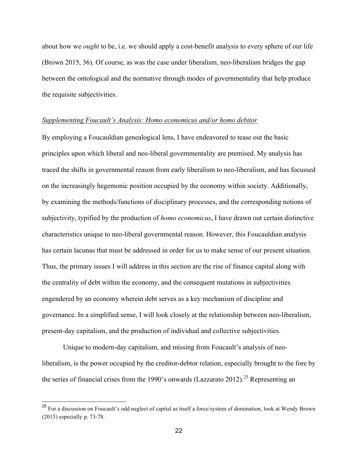about how we *ought* to be, i.e. we should apply a cost-benefit analysis to every sphere of our life (Brown 2015, 36). Of course, as was the case under liberalism, neo-liberalism bridges the gap between the ontological and the normative through modes of governmentality that help produce the requisite subjectivities.

#### *Supplementing Foucault's Analysis: Homo economicus and/or homo debitor*

By employing a Foucauldian genealogical lens, I have endeavored to tease out the basic principles upon which liberal and neo-liberal governmentality are premised. My analysis has traced the shifts in governmental reason from early liberalism to neo-liberalism, and has focussed on the increasingly hegemonic position occupied by the economy within society. Additionally, by examining the methods/functions of disciplinary processes, and the corresponding notions of subjectivity, typified by the production of *homo economicus*, I have drawn out certain distinctive characteristics unique to neo-liberal governmental reason. However, this Foucauldian analysis has certain lacunas that must be addressed in order for us to make sense of our present situation. Thus, the primary issues I will address in this section are the rise of finance capital along with the centrality of debt within the economy, and the consequent mutations in subjectivities engendered by an economy wherein debt serves as a key mechanism of discipline and governance. In a simplified sense, I will look closely at the relationship between neo-liberalism, present-day capitalism, and the production of individual and collective subjectivities.

Unique to modern-day capitalism, and missing from Foucault's analysis of neoliberalism, is the power occupied by the creditor-debtor relation, especially brought to the fore by the series of financial crises from the 1990's onwards (Lazzarato 2012).<sup>25</sup> Representing an

<sup>&</sup>lt;sup>25</sup> For a discussion on Foucault's odd neglect of capital as itself a force/system of domination, look at Wendy Brown (2015) especially p. 73-78.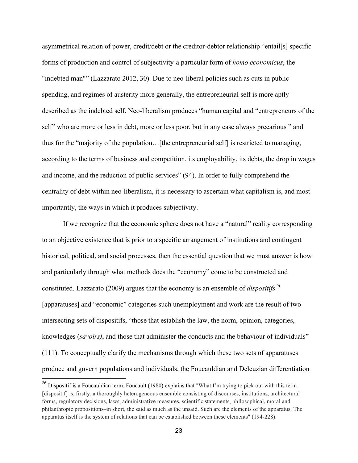asymmetrical relation of power, credit/debt or the creditor-debtor relationship "entail[s] specific forms of production and control of subjectivity-a particular form of *homo economicus*, the "indebted man"" (Lazzarato 2012, 30). Due to neo-liberal policies such as cuts in public spending, and regimes of austerity more generally, the entrepreneurial self is more aptly described as the indebted self. Neo-liberalism produces "human capital and "entrepreneurs of the self" who are more or less in debt, more or less poor, but in any case always precarious*,*" and thus for the "majority of the population…[the entrepreneurial self] is restricted to managing, according to the terms of business and competition, its employability, its debts, the drop in wages and income, and the reduction of public services" (94). In order to fully comprehend the centrality of debt within neo-liberalism, it is necessary to ascertain what capitalism is, and most importantly, the ways in which it produces subjectivity.

If we recognize that the economic sphere does not have a "natural" reality corresponding to an objective existence that is prior to a specific arrangement of institutions and contingent historical, political, and social processes, then the essential question that we must answer is how and particularly through what methods does the "economy" come to be constructed and constituted. Lazzarato (2009) argues that the economy is an ensemble of *dispositifs*<sup>26</sup> [apparatuses] and "economic" categories such unemployment and work are the result of two intersecting sets of dispositifs, "those that establish the law, the norm, opinion, categories, knowledges (*savoirs)*, and those that administer the conducts and the behaviour of individuals" (111). To conceptually clarify the mechanisms through which these two sets of apparatuses produce and govern populations and individuals, the Foucauldian and Deleuzian differentiation

<sup>&</sup>lt;sup>26</sup> Dispositif is a Foucauldian term. Foucault (1980) explains that "What I'm trying to pick out with this term [dispositif] is, firstly, a thoroughly heterogeneous ensemble consisting of discourses, institutions, architectural forms, regulatory decisions, laws, administrative measures, scientific statements, philosophical, moral and philanthropic propositions–in short, the said as much as the unsaid. Such are the elements of the apparatus. The apparatus itself is the system of relations that can be established between these elements" (194-228).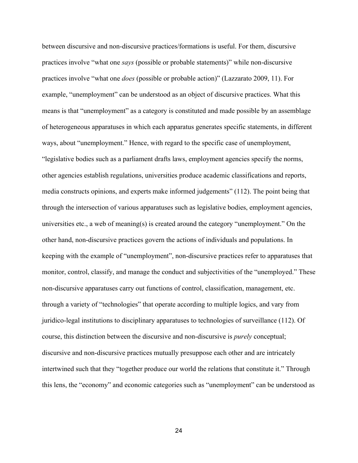between discursive and non-discursive practices/formations is useful. For them, discursive practices involve "what one *says* (possible or probable statements)" while non-discursive practices involve "what one *does* (possible or probable action)" (Lazzarato 2009, 11). For example, "unemployment" can be understood as an object of discursive practices. What this means is that "unemployment" as a category is constituted and made possible by an assemblage of heterogeneous apparatuses in which each apparatus generates specific statements, in different ways, about "unemployment." Hence, with regard to the specific case of unemployment, "legislative bodies such as a parliament drafts laws, employment agencies specify the norms, other agencies establish regulations, universities produce academic classifications and reports, media constructs opinions, and experts make informed judgements" (112). The point being that through the intersection of various apparatuses such as legislative bodies, employment agencies, universities etc., a web of meaning(s) is created around the category "unemployment." On the other hand, non-discursive practices govern the actions of individuals and populations. In keeping with the example of "unemployment", non-discursive practices refer to apparatuses that monitor, control, classify, and manage the conduct and subjectivities of the "unemployed." These non-discursive apparatuses carry out functions of control, classification, management, etc. through a variety of "technologies" that operate according to multiple logics, and vary from juridico-legal institutions to disciplinary apparatuses to technologies of surveillance (112). Of course, this distinction between the discursive and non-discursive is *purely* conceptual; discursive and non-discursive practices mutually presuppose each other and are intricately intertwined such that they "together produce our world the relations that constitute it." Through this lens, the "economy" and economic categories such as "unemployment" can be understood as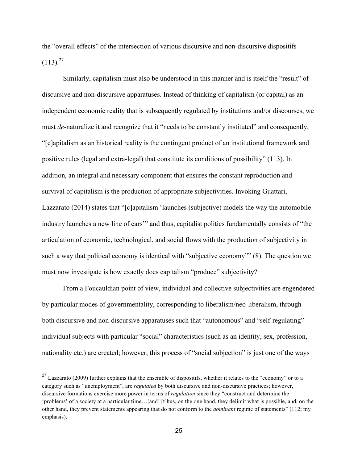the "overall effects" of the intersection of various discursive and non-discursive dispositifs  $(113)^{27}$ 

Similarly, capitalism must also be understood in this manner and is itself the "result" of discursive and non-discursive apparatuses. Instead of thinking of capitalism (or capital) as an independent economic reality that is subsequently regulated by institutions and/or discourses, we must *de*-naturalize it and recognize that it "needs to be constantly instituted" and consequently, "[c]apitalism as an historical reality is the contingent product of an institutional framework and positive rules (legal and extra-legal) that constitute its conditions of possibility" (113). In addition, an integral and necessary component that ensures the constant reproduction and survival of capitalism is the production of appropriate subjectivities. Invoking Guattari, Lazzarato (2014) states that "[c]apitalism 'launches (subjective) models the way the automobile industry launches a new line of cars'" and thus, capitalist politics fundamentally consists of "the articulation of economic, technological, and social flows with the production of subjectivity in such a way that political economy is identical with "subjective economy"" (8). The question we must now investigate is how exactly does capitalism "produce" subjectivity?

From a Foucauldian point of view, individual and collective subjectivities are engendered by particular modes of governmentality, corresponding to liberalism/neo-liberalism, through both discursive and non-discursive apparatuses such that "autonomous" and "self-regulating" individual subjects with particular "social" characteristics (such as an identity, sex, profession, nationality etc.) are created; however, this process of "social subjection" is just one of the ways

 $27$  Lazzarato (2009) further explains that the ensemble of dispositifs, whether it relates to the "economy" or to a category such as "unemployment", are *regulated* by both discursive and non-discursive practices; however, discursive formations exercise more power in terms of *regulation* since they "construct and determine the 'problems' of a society at a particular time…[and] [t]hus, on the one hand, they delimit what is possible, and, on the other hand, they prevent statements appearing that do not conform to the *dominant* regime of statements" (112; my emphasis).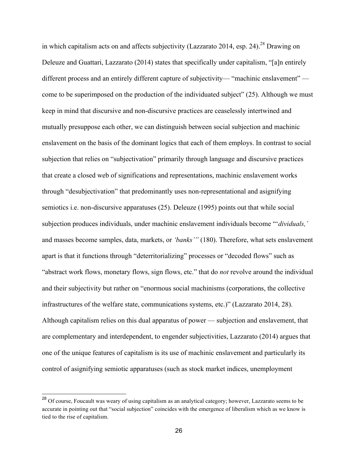in which capitalism acts on and affects subjectivity (Lazzarato 2014, esp. 24).<sup>28</sup> Drawing on Deleuze and Guattari, Lazzarato (2014) states that specifically under capitalism, "[a]n entirely different process and an entirely different capture of subjectivity— "machinic enslavement" come to be superimposed on the production of the individuated subject" (25). Although we must keep in mind that discursive and non-discursive practices are ceaselessly intertwined and mutually presuppose each other, we can distinguish between social subjection and machinic enslavement on the basis of the dominant logics that each of them employs. In contrast to social subjection that relies on "subjectivation" primarily through language and discursive practices that create a closed web of significations and representations, machinic enslavement works through "desubjectivation" that predominantly uses non-representational and asignifying semiotics i.e. non-discursive apparatuses (25). Deleuze (1995) points out that while social subjection produces individuals, under machinic enslavement individuals become "'*dividuals,'* and masses become samples, data, markets, or *'banks'"* (180). Therefore, what sets enslavement apart is that it functions through "deterritorializing" processes or "decoded flows" such as "abstract work flows, monetary flows, sign flows, etc." that do *not* revolve around the individual and their subjectivity but rather on "enormous social machinisms (corporations, the collective infrastructures of the welfare state, communications systems, etc.)" (Lazzarato 2014, 28). Although capitalism relies on this dual apparatus of power — subjection and enslavement, that are complementary and interdependent, to engender subjectivities, Lazzarato (2014) argues that one of the unique features of capitalism is its use of machinic enslavement and particularly its control of asignifying semiotic apparatuses (such as stock market indices, unemployment

<sup>&</sup>lt;sup>28</sup> Of course, Foucault was weary of using capitalism as an analytical category; however, Lazzarato seems to be accurate in pointing out that "social subjection" coincides with the emergence of liberalism which as we know is tied to the rise of capitalism.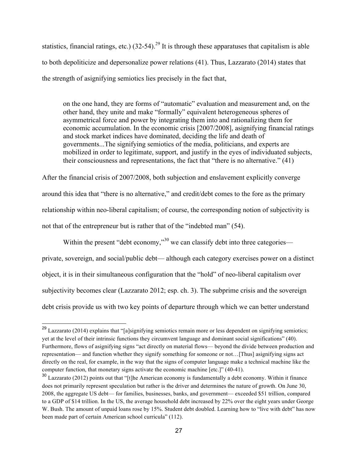statistics, financial ratings, etc.)  $(32-54)$ <sup>29</sup> It is through these apparatuses that capitalism is able to both depoliticize and depersonalize power relations (41). Thus, Lazzarato (2014) states that the strength of asignifying semiotics lies precisely in the fact that,

on the one hand, they are forms of "automatic" evaluation and measurement and, on the other hand, they unite and make "formally" equivalent heterogeneous spheres of asymmetrical force and power by integrating them into and rationalizing them for economic accumulation. In the economic crisis [2007/2008], asignifying financial ratings and stock market indices have dominated, deciding the life and death of governments...The signifying semiotics of the media, politicians, and experts are mobilized in order to legitimate, support, and justify in the eyes of individuated subjects, their consciousness and representations, the fact that "there is no alternative." (41)

After the financial crisis of 2007/2008, both subjection and enslavement explicitly converge around this idea that "there is no alternative," and credit/debt comes to the fore as the primary relationship within neo-liberal capitalism; of course, the corresponding notion of subjectivity is not that of the entrepreneur but is rather that of the "indebted man" (54).

Within the present "debt economy,"<sup>30</sup> we can classify debt into three categories private, sovereign, and social/public debt— although each category exercises power on a distinct object, it is in their simultaneous configuration that the "hold" of neo-liberal capitalism over subjectivity becomes clear (Lazzarato 2012; esp. ch. 3). The subprime crisis and the sovereign debt crisis provide us with two key points of departure through which we can better understand

<sup>&</sup>lt;sup>29</sup> Lazzarato (2014) explains that "[a]signifying semiotics remain more or less dependent on signifying semiotics; yet at the level of their intrinsic functions they circumvent language and dominant social significations" (40). Furthermore, flows of asignifying signs "act directly on material flows— beyond the divide between production and representation— and function whether they signify something for someone or not…[Thus] asignifying signs act directly on the real, for example, in the way that the signs of computer language make a technical machine like the computer function, that monetary signs activate the economic machine [etc.]" (40-41).

<sup>&</sup>lt;sup>30</sup> Lazzarato (2012) points out that "[t]he American economy is fundamentally a debt economy. Within it finance does not primarily represent speculation but rather is the driver and determines the nature of growth. On June 30, 2008, the aggregate US debt— for families, businesses, banks, and government— exceeded \$51 trillion, compared to a GDP of \$14 trillion. In the US, the average household debt increased by 22% over the eight years under George W. Bush. The amount of unpaid loans rose by 15%. Student debt doubled. Learning how to "live with debt" has now been made part of certain American school curricula" (112).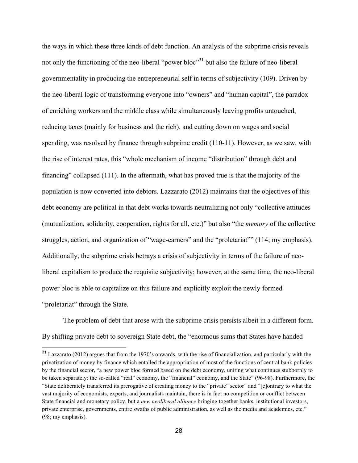the ways in which these three kinds of debt function. An analysis of the subprime crisis reveals not only the functioning of the neo-liberal "power bloc"<sup>31</sup> but also the failure of neo-liberal governmentality in producing the entrepreneurial self in terms of subjectivity (109). Driven by the neo-liberal logic of transforming everyone into "owners" and "human capital", the paradox of enriching workers and the middle class while simultaneously leaving profits untouched, reducing taxes (mainly for business and the rich), and cutting down on wages and social spending, was resolved by finance through subprime credit (110-11). However, as we saw, with the rise of interest rates, this "whole mechanism of income "distribution" through debt and financing" collapsed (111). In the aftermath, what has proved true is that the majority of the population is now converted into debtors. Lazzarato (2012) maintains that the objectives of this debt economy are political in that debt works towards neutralizing not only "collective attitudes (mutualization, solidarity, cooperation, rights for all, etc.)" but also "the *memory* of the collective struggles, action, and organization of "wage-earners" and the "proletariat"" (114; my emphasis). Additionally, the subprime crisis betrays a crisis of subjectivity in terms of the failure of neoliberal capitalism to produce the requisite subjectivity; however, at the same time, the neo-liberal power bloc is able to capitalize on this failure and explicitly exploit the newly formed "proletariat" through the State.

The problem of debt that arose with the subprime crisis persists albeit in a different form. By shifting private debt to sovereign State debt, the "enormous sums that States have handed

<sup>&</sup>lt;sup>31</sup> Lazzarato (2012) argues that from the 1970's onwards, with the rise of financialization, and particularly with the privatization of money by finance which entailed the appropriation of most of the functions of central bank policies by the financial sector, "a new power bloc formed based on the debt economy, uniting what continues stubbornly to be taken separately: the so-called "real" economy, the "financial" economy, and the State" (96-98). Furthermore, the "State deliberately transferred its prerogative of creating money to the "private" sector" and "[c]ontrary to what the vast majority of economists, experts, and journalists maintain, there is in fact no competition or conflict between State financial and monetary policy, but a *new neoliberal alliance* bringing together banks, institutional investors, private enterprise, governments, entire swaths of public administration, as well as the media and academics, etc." (98; my emphasis).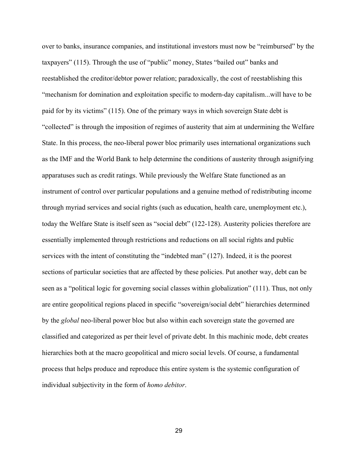over to banks, insurance companies, and institutional investors must now be "reimbursed" by the taxpayers" (115). Through the use of "public" money, States "bailed out" banks and reestablished the creditor/debtor power relation; paradoxically, the cost of reestablishing this "mechanism for domination and exploitation specific to modern-day capitalism...will have to be paid for by its victims" (115). One of the primary ways in which sovereign State debt is "collected" is through the imposition of regimes of austerity that aim at undermining the Welfare State. In this process, the neo-liberal power bloc primarily uses international organizations such as the IMF and the World Bank to help determine the conditions of austerity through asignifying apparatuses such as credit ratings. While previously the Welfare State functioned as an instrument of control over particular populations and a genuine method of redistributing income through myriad services and social rights (such as education, health care, unemployment etc.), today the Welfare State is itself seen as "social debt" (122-128). Austerity policies therefore are essentially implemented through restrictions and reductions on all social rights and public services with the intent of constituting the "indebted man" (127). Indeed, it is the poorest sections of particular societies that are affected by these policies. Put another way, debt can be seen as a "political logic for governing social classes within globalization" (111). Thus, not only are entire geopolitical regions placed in specific "sovereign/social debt" hierarchies determined by the *global* neo-liberal power bloc but also within each sovereign state the governed are classified and categorized as per their level of private debt. In this machinic mode, debt creates hierarchies both at the macro geopolitical and micro social levels. Of course, a fundamental process that helps produce and reproduce this entire system is the systemic configuration of individual subjectivity in the form of *homo debitor*.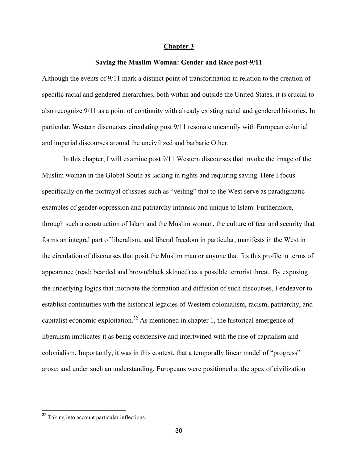#### **Chapter 3**

#### **Saving the Muslim Woman: Gender and Race post-9/11**

Although the events of 9/11 mark a distinct point of transformation in relation to the creation of specific racial and gendered hierarchies, both within and outside the United States, it is crucial to also recognize 9/11 as a point of continuity with already existing racial and gendered histories. In particular, Western discourses circulating post 9/11 resonate uncannily with European colonial and imperial discourses around the uncivilized and barbaric Other.

In this chapter, I will examine post 9/11 Western discourses that invoke the image of the Muslim woman in the Global South as lacking in rights and requiring saving. Here I focus specifically on the portrayal of issues such as "veiling" that to the West serve as paradigmatic examples of gender oppression and patriarchy intrinsic and unique to Islam. Furthermore, through such a construction of Islam and the Muslim woman, the culture of fear and security that forms an integral part of liberalism, and liberal freedom in particular, manifests in the West in the circulation of discourses that posit the Muslim man or anyone that fits this profile in terms of appearance (read: bearded and brown/black skinned) as a possible terrorist threat. By exposing the underlying logics that motivate the formation and diffusion of such discourses, I endeavor to establish continuities with the historical legacies of Western colonialism, racism, patriarchy, and capitalist economic exploitation.<sup>32</sup> As mentioned in chapter 1, the historical emergence of liberalism implicates it as being coextensive and intertwined with the rise of capitalism and colonialism. Importantly, it was in this context, that a temporally linear model of "progress" arose; and under such an understanding, Europeans were positioned at the apex of civilization

<sup>&</sup>lt;sup>32</sup> Taking into account particular inflections.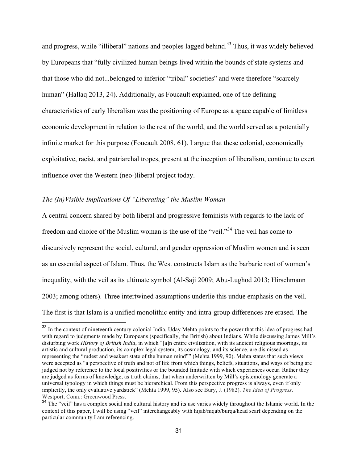and progress, while "illiberal" nations and peoples lagged behind.<sup>33</sup> Thus, it was widely believed by Europeans that "fully civilized human beings lived within the bounds of state systems and that those who did not...belonged to inferior "tribal" societies" and were therefore "scarcely human" (Hallaq 2013, 24). Additionally, as Foucault explained, one of the defining characteristics of early liberalism was the positioning of Europe as a space capable of limitless economic development in relation to the rest of the world, and the world served as a potentially infinite market for this purpose (Foucault 2008, 61). I argue that these colonial, economically exploitative, racist, and patriarchal tropes, present at the inception of liberalism, continue to exert influence over the Western (neo-)liberal project today.

### *The (In)Visible Implications Of "Liberating" the Muslim Woman*

A central concern shared by both liberal and progressive feminists with regards to the lack of freedom and choice of the Muslim woman is the use of the "veil."<sup>34</sup> The veil has come to discursively represent the social, cultural, and gender oppression of Muslim women and is seen as an essential aspect of Islam. Thus, the West constructs Islam as the barbaric root of women's inequality, with the veil as its ultimate symbol (Al-Saji 2009; Abu-Lughod 2013; Hirschmann 2003; among others). Three intertwined assumptions underlie this undue emphasis on the veil. The first is that Islam is a unified monolithic entity and intra-group differences are erased. The

<sup>&</sup>lt;sup>33</sup> In the context of nineteenth century colonial India, Uday Mehta points to the power that this idea of progress had with regard to judgments made by Europeans (specifically, the British) about Indians. While discussing James Mill's disturbing work *History of British India*, in which "[a]n entire civilization, with its ancient religious moorings, its artistic and cultural production, its complex legal system, its cosmology, and its science, are dismissed as representing the "rudest and weakest state of the human mind"" (Mehta 1999, 90). Mehta states that such views were accepted as "a perspective of truth and not of life from which things, beliefs, situations, and ways of being are judged not by reference to the local positivities or the bounded finitude with which experiences occur. Rather they are judged as forms of knowledge, as truth claims, that when underwritten by Mill's epistemology generate a universal typology in which things must be hierarchical. From this perspective progress is always, even if only implicitly, the only evaluative yardstick" (Mehta 1999, 95). Also see Bury, J. (1982). *The Idea of Progress*. Westport, Conn.: Greenwood Press.

<sup>&</sup>lt;sup>34</sup> The "veil" has a complex social and cultural history and its use varies widely throughout the Islamic world. In the context of this paper, I will be using "veil" interchangeably with hijab/niqab/burqa/head scarf depending on the particular community I am referencing.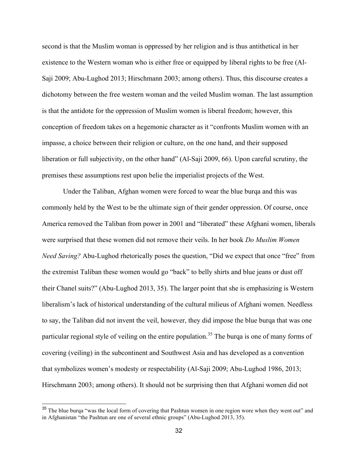second is that the Muslim woman is oppressed by her religion and is thus antithetical in her existence to the Western woman who is either free or equipped by liberal rights to be free (Al-Saji 2009; Abu-Lughod 2013; Hirschmann 2003; among others). Thus, this discourse creates a dichotomy between the free western woman and the veiled Muslim woman. The last assumption is that the antidote for the oppression of Muslim women is liberal freedom; however, this conception of freedom takes on a hegemonic character as it "confronts Muslim women with an impasse, a choice between their religion or culture, on the one hand, and their supposed liberation or full subjectivity, on the other hand" (Al-Saji 2009, 66). Upon careful scrutiny, the premises these assumptions rest upon belie the imperialist projects of the West.

Under the Taliban, Afghan women were forced to wear the blue burqa and this was commonly held by the West to be the ultimate sign of their gender oppression. Of course, once America removed the Taliban from power in 2001 and "liberated" these Afghani women, liberals were surprised that these women did not remove their veils. In her book *Do Muslim Women Need Saving?* Abu-Lughod rhetorically poses the question, "Did we expect that once "free" from the extremist Taliban these women would go "back" to belly shirts and blue jeans or dust off their Chanel suits?" (Abu-Lughod 2013, 35). The larger point that she is emphasizing is Western liberalism's lack of historical understanding of the cultural milieus of Afghani women. Needless to say, the Taliban did not invent the veil, however, they did impose the blue burqa that was one particular regional style of veiling on the entire population.<sup>35</sup> The burqa is one of many forms of covering (veiling) in the subcontinent and Southwest Asia and has developed as a convention that symbolizes women's modesty or respectability (Al-Saji 2009; Abu-Lughod 1986, 2013; Hirschmann 2003; among others). It should not be surprising then that Afghani women did not

<sup>&</sup>lt;sup>35</sup> The blue burqa "was the local form of covering that Pashtun women in one region wore when they went out" and in Afghanistan "the Pashtun are one of several ethnic groups" (Abu-Lughod 2013, 35).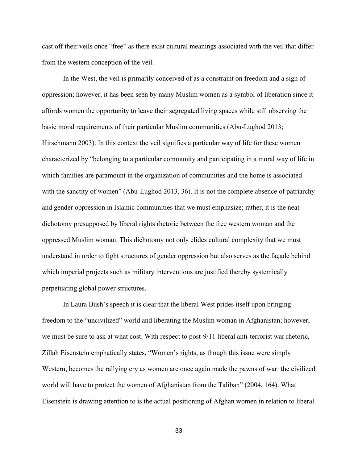cast off their veils once "free" as there exist cultural meanings associated with the veil that differ from the western conception of the veil.

In the West, the veil is primarily conceived of as a constraint on freedom and a sign of oppression; however, it has been seen by many Muslim women as a symbol of liberation since it affords women the opportunity to leave their segregated living spaces while still observing the basic moral requirements of their particular Muslim communities (Abu-Lughod 2013; Hirschmann 2003). In this context the veil signifies a particular way of life for these women characterized by "belonging to a particular community and participating in a moral way of life in which families are paramount in the organization of communities and the home is associated with the sanctity of women" (Abu-Lughod 2013, 36). It is not the complete absence of patriarchy and gender oppression in Islamic communities that we must emphasize; rather, it is the neat dichotomy presupposed by liberal rights rhetoric between the free western woman and the oppressed Muslim woman. This dichotomy not only elides cultural complexity that we must understand in order to fight structures of gender oppression but also serves as the façade behind which imperial projects such as military interventions are justified thereby systemically perpetuating global power structures.

In Laura Bush's speech it is clear that the liberal West prides itself upon bringing freedom to the "uncivilized" world and liberating the Muslim woman in Afghanistan; however, we must be sure to ask at what cost. With respect to post-9/11 liberal anti-terrorist war rhetoric, Zillah Eisenstein emphatically states, "Women's rights, as though this issue were simply Western, becomes the rallying cry as women are once again made the pawns of war: the civilized world will have to protect the women of Afghanistan from the Taliban" (2004, 164). What Eisenstein is drawing attention to is the actual positioning of Afghan women in relation to liberal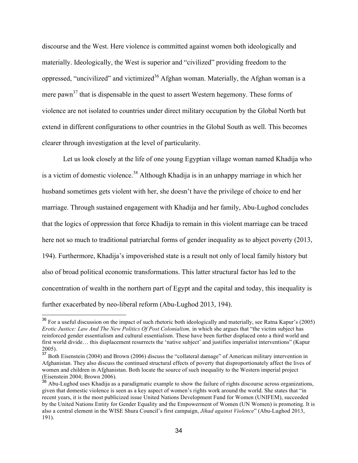discourse and the West. Here violence is committed against women both ideologically and materially. Ideologically, the West is superior and "civilized" providing freedom to the oppressed, "uncivilized" and victimized<sup>36</sup> Afghan woman. Materially, the Afghan woman is a mere pawn<sup>37</sup> that is dispensable in the quest to assert Western hegemony. These forms of violence are not isolated to countries under direct military occupation by the Global North but extend in different configurations to other countries in the Global South as well. This becomes clearer through investigation at the level of particularity.

Let us look closely at the life of one young Egyptian village woman named Khadija who is a victim of domestic violence.<sup>38</sup> Although Khadija is in an unhappy marriage in which her husband sometimes gets violent with her, she doesn't have the privilege of choice to end her marriage. Through sustained engagement with Khadija and her family, Abu-Lughod concludes that the logics of oppression that force Khadija to remain in this violent marriage can be traced here not so much to traditional patriarchal forms of gender inequality as to abject poverty (2013, 194). Furthermore, Khadija's impoverished state is a result not only of local family history but also of broad political economic transformations. This latter structural factor has led to the concentration of wealth in the northern part of Egypt and the capital and today, this inequality is further exacerbated by neo-liberal reform (Abu-Lughod 2013, 194).

<sup>&</sup>lt;sup>36</sup> For a useful discussion on the impact of such rhetoric both ideologically and materially, see Ratna Kapur's (2005) *Erotic Justice: Law And The New Politics Of Post Colonialism,* in which she argues that "the victim subject has reinforced gender essentialism and cultural essentialism. These have been further displaced onto a third world and first world divide… this displacement resurrects the 'native subject' and justifies imperialist interventions" (Kapur 2005).

<sup>&</sup>lt;sup>37</sup> Both Eisenstein (2004) and Brown (2006) discuss the "collateral damage" of American military intervention in Afghanistan. They also discuss the continued structural effects of poverty that disproportionately affect the lives of women and children in Afghanistan. Both locate the source of such inequality to the Western imperial project (Eisenstein 2004; Brown 2006).

<sup>&</sup>lt;sup>38</sup> Abu-Lughod uses Khadija as a paradigmatic example to show the failure of rights discourse across organizations, given that domestic violence is seen as a key aspect of women's rights work around the world. She states that "in recent years, it is the most publicized issue United Nations Development Fund for Women (UNIFEM), succeeded by the United Nations Entity for Gender Equality and the Empowerment of Women (UN Women) is promoting. It is also a central element in the WISE Shura Council's first campaign, *Jihad against Violence*" (Abu-Lughod 2013, 191).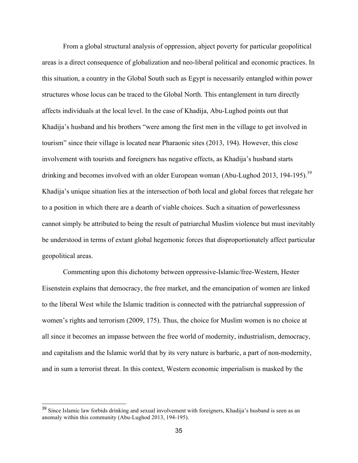From a global structural analysis of oppression, abject poverty for particular geopolitical areas is a direct consequence of globalization and neo-liberal political and economic practices. In this situation, a country in the Global South such as Egypt is necessarily entangled within power structures whose locus can be traced to the Global North. This entanglement in turn directly affects individuals at the local level. In the case of Khadija, Abu-Lughod points out that Khadija's husband and his brothers "were among the first men in the village to get involved in tourism" since their village is located near Pharaonic sites (2013, 194). However, this close involvement with tourists and foreigners has negative effects, as Khadija's husband starts drinking and becomes involved with an older European woman (Abu-Lughod 2013, 194-195).<sup>39</sup> Khadija's unique situation lies at the intersection of both local and global forces that relegate her to a position in which there are a dearth of viable choices. Such a situation of powerlessness cannot simply be attributed to being the result of patriarchal Muslim violence but must inevitably be understood in terms of extant global hegemonic forces that disproportionately affect particular geopolitical areas.

Commenting upon this dichotomy between oppressive-Islamic/free-Western, Hester Eisenstein explains that democracy, the free market, and the emancipation of women are linked to the liberal West while the Islamic tradition is connected with the patriarchal suppression of women's rights and terrorism (2009, 175). Thus, the choice for Muslim women is no choice at all since it becomes an impasse between the free world of modernity, industrialism, democracy, and capitalism and the Islamic world that by its very nature is barbaric, a part of non-modernity, and in sum a terrorist threat. In this context, Western economic imperialism is masked by the

<sup>&</sup>lt;sup>39</sup> Since Islamic law forbids drinking and sexual involvement with foreigners, Khadija's husband is seen as an anomaly within this community (Abu-Lughod 2013, 194-195).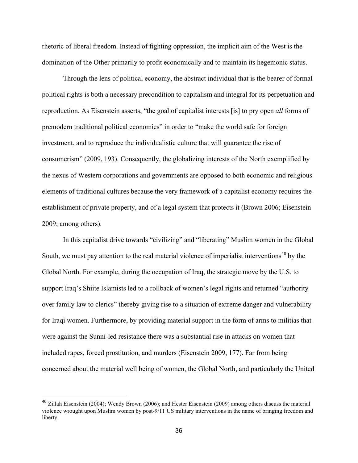rhetoric of liberal freedom. Instead of fighting oppression, the implicit aim of the West is the domination of the Other primarily to profit economically and to maintain its hegemonic status.

Through the lens of political economy, the abstract individual that is the bearer of formal political rights is both a necessary precondition to capitalism and integral for its perpetuation and reproduction. As Eisenstein asserts, "the goal of capitalist interests [is] to pry open *all* forms of premodern traditional political economies" in order to "make the world safe for foreign investment, and to reproduce the individualistic culture that will guarantee the rise of consumerism" (2009, 193). Consequently, the globalizing interests of the North exemplified by the nexus of Western corporations and governments are opposed to both economic and religious elements of traditional cultures because the very framework of a capitalist economy requires the establishment of private property, and of a legal system that protects it (Brown 2006; Eisenstein 2009; among others).

In this capitalist drive towards "civilizing" and "liberating" Muslim women in the Global South, we must pay attention to the real material violence of imperialist interventions<sup>40</sup> by the Global North. For example, during the occupation of Iraq, the strategic move by the U.S. to support Iraq's Shiite Islamists led to a rollback of women's legal rights and returned "authority over family law to clerics" thereby giving rise to a situation of extreme danger and vulnerability for Iraqi women. Furthermore, by providing material support in the form of arms to militias that were against the Sunni-led resistance there was a substantial rise in attacks on women that included rapes, forced prostitution, and murders (Eisenstein 2009, 177). Far from being concerned about the material well being of women, the Global North, and particularly the United

<sup>&</sup>lt;sup>40</sup> Zillah Eisenstein (2004); Wendy Brown (2006); and Hester Eisenstein (2009) among others discuss the material violence wrought upon Muslim women by post-9/11 US military interventions in the name of bringing freedom and liberty.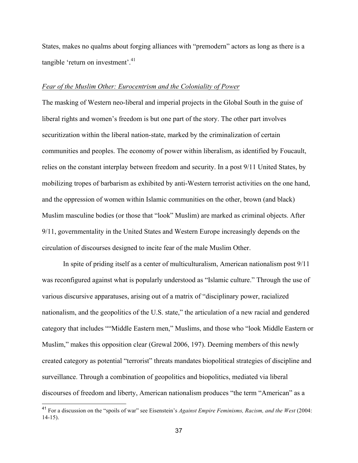States, makes no qualms about forging alliances with "premodern" actors as long as there is a tangible 'return on investment'.<sup>41</sup>

#### *Fear of the Muslim Other: Eurocentrism and the Coloniality of Power*

The masking of Western neo-liberal and imperial projects in the Global South in the guise of liberal rights and women's freedom is but one part of the story. The other part involves securitization within the liberal nation-state, marked by the criminalization of certain communities and peoples. The economy of power within liberalism, as identified by Foucault, relies on the constant interplay between freedom and security. In a post 9/11 United States, by mobilizing tropes of barbarism as exhibited by anti-Western terrorist activities on the one hand, and the oppression of women within Islamic communities on the other, brown (and black) Muslim masculine bodies (or those that "look" Muslim) are marked as criminal objects. After 9/11, governmentality in the United States and Western Europe increasingly depends on the circulation of discourses designed to incite fear of the male Muslim Other.

In spite of priding itself as a center of multiculturalism, American nationalism post 9/11 was reconfigured against what is popularly understood as "Islamic culture." Through the use of various discursive apparatuses, arising out of a matrix of "disciplinary power, racialized nationalism, and the geopolitics of the U.S. state," the articulation of a new racial and gendered category that includes ""Middle Eastern men," Muslims, and those who "look Middle Eastern or Muslim," makes this opposition clear (Grewal 2006, 197). Deeming members of this newly created category as potential "terrorist" threats mandates biopolitical strategies of discipline and surveillance. Through a combination of geopolitics and biopolitics, mediated via liberal discourses of freedom and liberty, American nationalism produces "the term "American" as a

 <sup>41</sup> For a discussion on the "spoils of war" see Eisenstein's *Against Empire Feminisms, Racism, and the West* (2004: 14-15).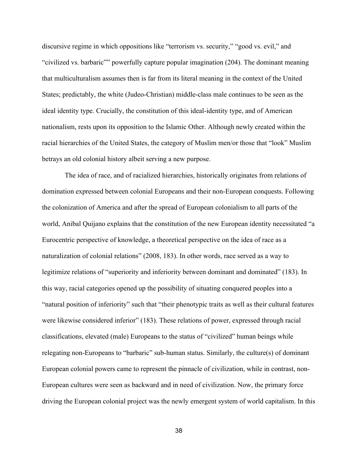discursive regime in which oppositions like "terrorism vs. security," "good vs. evil," and "civilized vs. barbaric"" powerfully capture popular imagination (204). The dominant meaning that multiculturalism assumes then is far from its literal meaning in the context of the United States; predictably, the white (Judeo-Christian) middle-class male continues to be seen as the ideal identity type. Crucially, the constitution of this ideal-identity type, and of American nationalism, rests upon its opposition to the Islamic Other. Although newly created within the racial hierarchies of the United States, the category of Muslim men/or those that "look" Muslim betrays an old colonial history albeit serving a new purpose.

The idea of race, and of racialized hierarchies, historically originates from relations of domination expressed between colonial Europeans and their non-European conquests. Following the colonization of America and after the spread of European colonialism to all parts of the world, Anibal Quijano explains that the constitution of the new European identity necessitated "a Eurocentric perspective of knowledge, a theoretical perspective on the idea of race as a naturalization of colonial relations" (2008, 183). In other words, race served as a way to legitimize relations of "superiority and inferiority between dominant and dominated" (183). In this way, racial categories opened up the possibility of situating conquered peoples into a "natural position of inferiority" such that "their phenotypic traits as well as their cultural features were likewise considered inferior" (183). These relations of power, expressed through racial classifications, elevated (male) Europeans to the status of "civilized" human beings while relegating non-Europeans to "barbaric" sub-human status. Similarly, the culture(s) of dominant European colonial powers came to represent the pinnacle of civilization, while in contrast, non-European cultures were seen as backward and in need of civilization. Now, the primary force driving the European colonial project was the newly emergent system of world capitalism. In this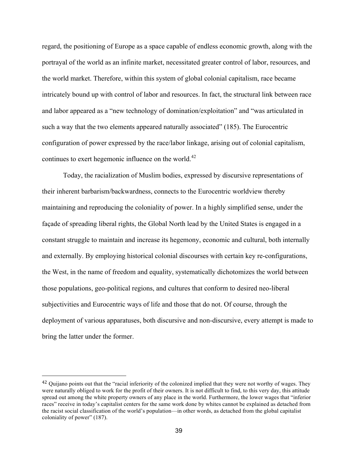regard, the positioning of Europe as a space capable of endless economic growth, along with the portrayal of the world as an infinite market, necessitated greater control of labor, resources, and the world market. Therefore, within this system of global colonial capitalism, race became intricately bound up with control of labor and resources. In fact, the structural link between race and labor appeared as a "new technology of domination/exploitation" and "was articulated in such a way that the two elements appeared naturally associated" (185). The Eurocentric configuration of power expressed by the race/labor linkage, arising out of colonial capitalism, continues to exert hegemonic influence on the world.<sup>42</sup>

Today, the racialization of Muslim bodies, expressed by discursive representations of their inherent barbarism/backwardness, connects to the Eurocentric worldview thereby maintaining and reproducing the coloniality of power. In a highly simplified sense, under the façade of spreading liberal rights, the Global North lead by the United States is engaged in a constant struggle to maintain and increase its hegemony, economic and cultural, both internally and externally. By employing historical colonial discourses with certain key re-configurations, the West, in the name of freedom and equality, systematically dichotomizes the world between those populations, geo-political regions, and cultures that conform to desired neo-liberal subjectivities and Eurocentric ways of life and those that do not. Of course, through the deployment of various apparatuses, both discursive and non-discursive, every attempt is made to bring the latter under the former.

<sup>&</sup>lt;sup>42</sup> Quijano points out that the "racial inferiority of the colonized implied that they were not worthy of wages. They were naturally obliged to work for the profit of their owners. It is not difficult to find, to this very day, this attitude spread out among the white property owners of any place in the world. Furthermore, the lower wages that "inferior races" receive in today's capitalist centers for the same work done by whites cannot be explained as detached from the racist social classification of the world's population—in other words, as detached from the global capitalist coloniality of power" (187).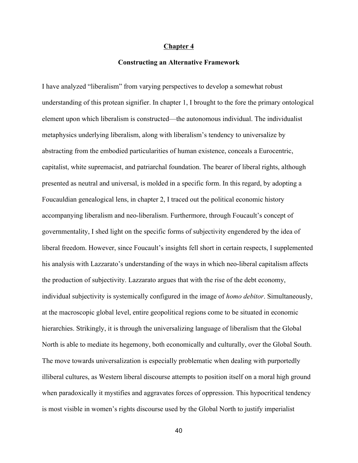#### **Chapter 4**

#### **Constructing an Alternative Framework**

I have analyzed "liberalism" from varying perspectives to develop a somewhat robust understanding of this protean signifier. In chapter 1, I brought to the fore the primary ontological element upon which liberalism is constructed—the autonomous individual. The individualist metaphysics underlying liberalism, along with liberalism's tendency to universalize by abstracting from the embodied particularities of human existence, conceals a Eurocentric, capitalist, white supremacist, and patriarchal foundation. The bearer of liberal rights, although presented as neutral and universal, is molded in a specific form. In this regard, by adopting a Foucauldian genealogical lens, in chapter 2, I traced out the political economic history accompanying liberalism and neo-liberalism. Furthermore, through Foucault's concept of governmentality, I shed light on the specific forms of subjectivity engendered by the idea of liberal freedom. However, since Foucault's insights fell short in certain respects, I supplemented his analysis with Lazzarato's understanding of the ways in which neo-liberal capitalism affects the production of subjectivity. Lazzarato argues that with the rise of the debt economy, individual subjectivity is systemically configured in the image of *homo debitor*. Simultaneously, at the macroscopic global level, entire geopolitical regions come to be situated in economic hierarchies. Strikingly, it is through the universalizing language of liberalism that the Global North is able to mediate its hegemony, both economically and culturally, over the Global South. The move towards universalization is especially problematic when dealing with purportedly illiberal cultures, as Western liberal discourse attempts to position itself on a moral high ground when paradoxically it mystifies and aggravates forces of oppression. This hypocritical tendency is most visible in women's rights discourse used by the Global North to justify imperialist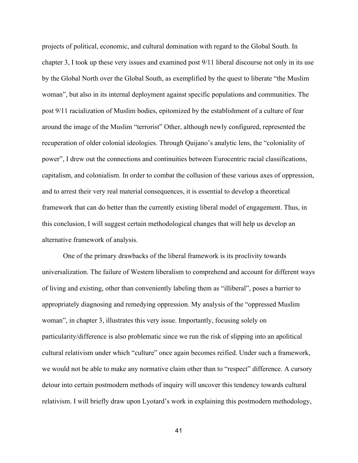projects of political, economic, and cultural domination with regard to the Global South. In chapter 3, I took up these very issues and examined post 9/11 liberal discourse not only in its use by the Global North over the Global South, as exemplified by the quest to liberate "the Muslim woman", but also in its internal deployment against specific populations and communities. The post 9/11 racialization of Muslim bodies, epitomized by the establishment of a culture of fear around the image of the Muslim "terrorist" Other, although newly configured, represented the recuperation of older colonial ideologies. Through Quijano's analytic lens, the "coloniality of power", I drew out the connections and continuities between Eurocentric racial classifications, capitalism, and colonialism. In order to combat the collusion of these various axes of oppression, and to arrest their very real material consequences, it is essential to develop a theoretical framework that can do better than the currently existing liberal model of engagement. Thus, in this conclusion, I will suggest certain methodological changes that will help us develop an alternative framework of analysis.

One of the primary drawbacks of the liberal framework is its proclivity towards universalization. The failure of Western liberalism to comprehend and account for different ways of living and existing, other than conveniently labeling them as "illiberal", poses a barrier to appropriately diagnosing and remedying oppression. My analysis of the "oppressed Muslim woman", in chapter 3, illustrates this very issue. Importantly, focusing solely on particularity/difference is also problematic since we run the risk of slipping into an apolitical cultural relativism under which "culture" once again becomes reified. Under such a framework, we would not be able to make any normative claim other than to "respect" difference. A cursory detour into certain postmodern methods of inquiry will uncover this tendency towards cultural relativism. I will briefly draw upon Lyotard's work in explaining this postmodern methodology,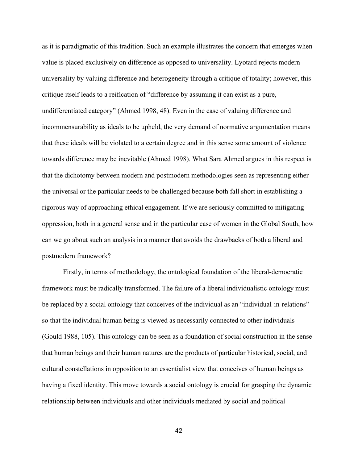as it is paradigmatic of this tradition. Such an example illustrates the concern that emerges when value is placed exclusively on difference as opposed to universality. Lyotard rejects modern universality by valuing difference and heterogeneity through a critique of totality; however, this critique itself leads to a reification of "difference by assuming it can exist as a pure, undifferentiated category" (Ahmed 1998, 48). Even in the case of valuing difference and incommensurability as ideals to be upheld, the very demand of normative argumentation means that these ideals will be violated to a certain degree and in this sense some amount of violence towards difference may be inevitable (Ahmed 1998). What Sara Ahmed argues in this respect is that the dichotomy between modern and postmodern methodologies seen as representing either the universal or the particular needs to be challenged because both fall short in establishing a rigorous way of approaching ethical engagement. If we are seriously committed to mitigating oppression, both in a general sense and in the particular case of women in the Global South, how can we go about such an analysis in a manner that avoids the drawbacks of both a liberal and postmodern framework?

Firstly, in terms of methodology, the ontological foundation of the liberal-democratic framework must be radically transformed. The failure of a liberal individualistic ontology must be replaced by a social ontology that conceives of the individual as an "individual-in-relations" so that the individual human being is viewed as necessarily connected to other individuals (Gould 1988, 105). This ontology can be seen as a foundation of social construction in the sense that human beings and their human natures are the products of particular historical, social, and cultural constellations in opposition to an essentialist view that conceives of human beings as having a fixed identity. This move towards a social ontology is crucial for grasping the dynamic relationship between individuals and other individuals mediated by social and political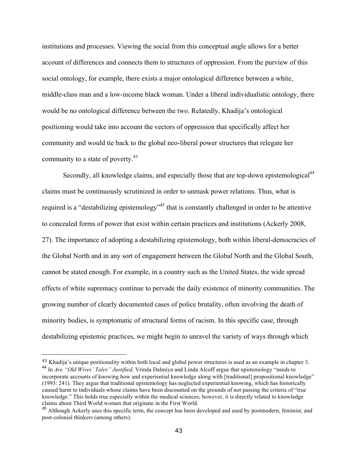institutions and processes. Viewing the social from this conceptual angle allows for a better account of differences and connects them to structures of oppression. From the purview of this social ontology, for example, there exists a major ontological difference between a white, middle-class man and a low-income black woman. Under a liberal individualistic ontology, there would be no ontological difference between the two. Relatedly, Khadija's ontological positioning would take into account the vectors of oppression that specifically affect her community and would tie back to the global neo-liberal power structures that relegate her community to a state of poverty.<sup>43</sup>

Secondly, all knowledge claims, and especially those that are top-down epistemological<sup>44</sup> claims must be continuously scrutinized in order to unmask power relations. Thus, what is required is a "destabilizing epistemology"<sup>45</sup> that is constantly challenged in order to be attentive to concealed forms of power that exist within certain practices and institutions (Ackerly 2008, 27). The importance of adopting a destabilizing epistemology, both within liberal-democracies of the Global North and in any sort of engagement between the Global North and the Global South, cannot be stated enough. For example, in a country such as the United States, the wide spread effects of white supremacy continue to pervade the daily existence of minority communities. The growing number of clearly documented cases of police brutality, often involving the death of minority bodies, is symptomatic of structural forms of racism. In this specific case, through destabilizing epistemic practices, we might begin to unravel the variety of ways through which

<sup>43</sup> Khadija's unique positionality within both local and global power structures is used as an example in chapter 3. <sup>44</sup> In *Are "Old Wives' Tales" Justified,* Vrinda Dalmiya and Linda Alcoff argue that epistemology "needs to incorporate accounts of knowing how and experiential knowledge along with [traditional] propositional knowledge" (1993: 241). They argue that traditional epistemology has neglected experiential knowing, which has historically caused harm to individuals whose claims have been discounted on the grounds of not passing the criteria of "true knowledge." This holds true especially within the medical sciences; however, it is directly related to knowledge claims about Third World women that originate in the First World.

<sup>&</sup>lt;sup>45</sup> Although Ackerly uses this specific term, the concept has been developed and used by postmodern, feminist, and post-colonial thinkers (among others).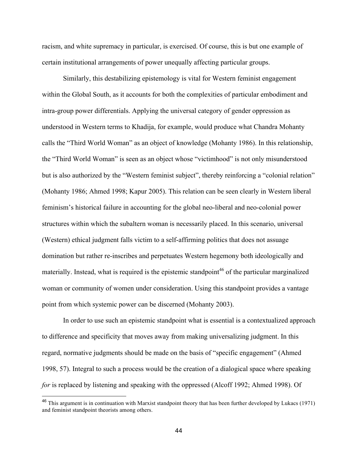racism, and white supremacy in particular, is exercised. Of course, this is but one example of certain institutional arrangements of power unequally affecting particular groups.

Similarly, this destabilizing epistemology is vital for Western feminist engagement within the Global South, as it accounts for both the complexities of particular embodiment and intra-group power differentials. Applying the universal category of gender oppression as understood in Western terms to Khadija, for example, would produce what Chandra Mohanty calls the "Third World Woman" as an object of knowledge (Mohanty 1986). In this relationship, the "Third World Woman" is seen as an object whose "victimhood" is not only misunderstood but is also authorized by the "Western feminist subject", thereby reinforcing a "colonial relation" (Mohanty 1986; Ahmed 1998; Kapur 2005). This relation can be seen clearly in Western liberal feminism's historical failure in accounting for the global neo-liberal and neo-colonial power structures within which the subaltern woman is necessarily placed. In this scenario, universal (Western) ethical judgment falls victim to a self-affirming politics that does not assuage domination but rather re-inscribes and perpetuates Western hegemony both ideologically and materially. Instead, what is required is the epistemic standpoint<sup>46</sup> of the particular marginalized woman or community of women under consideration. Using this standpoint provides a vantage point from which systemic power can be discerned (Mohanty 2003).

In order to use such an epistemic standpoint what is essential is a contextualized approach to difference and specificity that moves away from making universalizing judgment. In this regard, normative judgments should be made on the basis of "specific engagement" (Ahmed 1998, 57). Integral to such a process would be the creation of a dialogical space where speaking *for* is replaced by listening and speaking with the oppressed (Alcoff 1992; Ahmed 1998). Of

<sup>&</sup>lt;sup>46</sup> This argument is in continuation with Marxist standpoint theory that has been further developed by Lukacs (1971) and feminist standpoint theorists among others.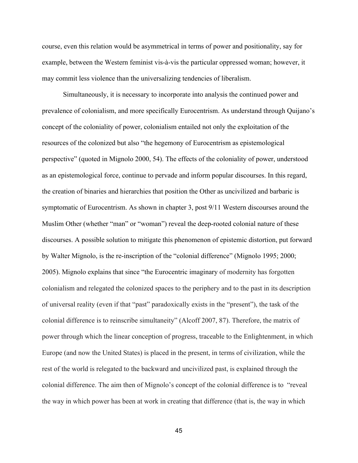course, even this relation would be asymmetrical in terms of power and positionality, say for example, between the Western feminist vis-à-vis the particular oppressed woman; however, it may commit less violence than the universalizing tendencies of liberalism.

Simultaneously, it is necessary to incorporate into analysis the continued power and prevalence of colonialism, and more specifically Eurocentrism. As understand through Quijano's concept of the coloniality of power, colonialism entailed not only the exploitation of the resources of the colonized but also "the hegemony of Eurocentrism as epistemological perspective" (quoted in Mignolo 2000, 54). The effects of the coloniality of power, understood as an epistemological force, continue to pervade and inform popular discourses. In this regard, the creation of binaries and hierarchies that position the Other as uncivilized and barbaric is symptomatic of Eurocentrism. As shown in chapter 3, post 9/11 Western discourses around the Muslim Other (whether "man" or "woman") reveal the deep-rooted colonial nature of these discourses. A possible solution to mitigate this phenomenon of epistemic distortion, put forward by Walter Mignolo, is the re-inscription of the "colonial difference" (Mignolo 1995; 2000; 2005). Mignolo explains that since "the Eurocentric imaginary of modernity has forgotten colonialism and relegated the colonized spaces to the periphery and to the past in its description of universal reality (even if that "past" paradoxically exists in the "present"), the task of the colonial difference is to reinscribe simultaneity" (Alcoff 2007, 87). Therefore, the matrix of power through which the linear conception of progress, traceable to the Enlightenment, in which Europe (and now the United States) is placed in the present, in terms of civilization, while the rest of the world is relegated to the backward and uncivilized past, is explained through the colonial difference. The aim then of Mignolo's concept of the colonial difference is to "reveal the way in which power has been at work in creating that difference (that is, the way in which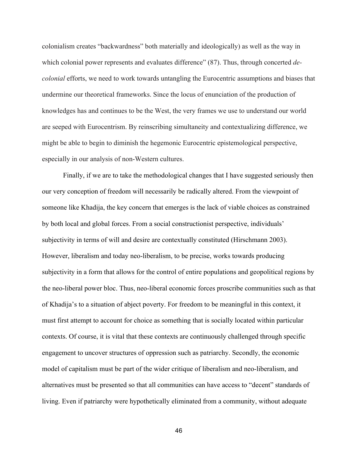colonialism creates "backwardness" both materially and ideologically) as well as the way in which colonial power represents and evaluates difference" (87). Thus, through concerted *decolonial* efforts, we need to work towards untangling the Eurocentric assumptions and biases that undermine our theoretical frameworks. Since the locus of enunciation of the production of knowledges has and continues to be the West, the very frames we use to understand our world are seeped with Eurocentrism. By reinscribing simultaneity and contextualizing difference, we might be able to begin to diminish the hegemonic Eurocentric epistemological perspective, especially in our analysis of non-Western cultures.

Finally, if we are to take the methodological changes that I have suggested seriously then our very conception of freedom will necessarily be radically altered. From the viewpoint of someone like Khadija, the key concern that emerges is the lack of viable choices as constrained by both local and global forces. From a social constructionist perspective, individuals' subjectivity in terms of will and desire are contextually constituted (Hirschmann 2003). However, liberalism and today neo-liberalism, to be precise, works towards producing subjectivity in a form that allows for the control of entire populations and geopolitical regions by the neo-liberal power bloc. Thus, neo-liberal economic forces proscribe communities such as that of Khadija's to a situation of abject poverty. For freedom to be meaningful in this context, it must first attempt to account for choice as something that is socially located within particular contexts. Of course, it is vital that these contexts are continuously challenged through specific engagement to uncover structures of oppression such as patriarchy. Secondly, the economic model of capitalism must be part of the wider critique of liberalism and neo-liberalism, and alternatives must be presented so that all communities can have access to "decent" standards of living. Even if patriarchy were hypothetically eliminated from a community, without adequate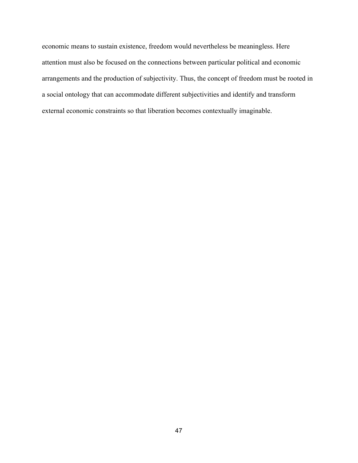economic means to sustain existence, freedom would nevertheless be meaningless. Here attention must also be focused on the connections between particular political and economic arrangements and the production of subjectivity. Thus, the concept of freedom must be rooted in a social ontology that can accommodate different subjectivities and identify and transform external economic constraints so that liberation becomes contextually imaginable.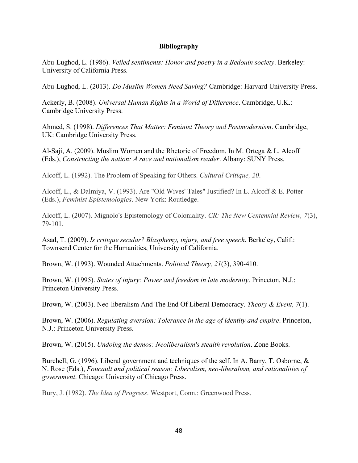### **Bibliography**

Abu-Lughod, L. (1986). *Veiled sentiments: Honor and poetry in a Bedouin society*. Berkeley: University of California Press.

Abu-Lughod, L. (2013). *Do Muslim Women Need Saving?* Cambridge: Harvard University Press.

Ackerly, B. (2008). *Universal Human Rights in a World of Difference*. Cambridge, U.K.: Cambridge University Press.

Ahmed, S. (1998). *Differences That Matter: Feminist Theory and Postmodernism*. Cambridge, UK: Cambridge University Press.

Al-Saji, A. (2009). Muslim Women and the Rhetoric of Freedom. In M. Ortega & L. Alcoff (Eds.), *Constructing the nation: A race and nationalism reader*. Albany: SUNY Press.

Alcoff, L. (1992). The Problem of Speaking for Others. *Cultural Critique, 20*.

Alcoff, L., & Dalmiya, V. (1993). Are "Old Wives' Tales" Justified? In L. Alcoff & E. Potter (Eds.), *Feminist Epistemologies*. New York: Routledge.

Alcoff, L. (2007). Mignolo's Epistemology of Coloniality. *CR: The New Centennial Review, 7*(3), 79-101.

Asad, T. (2009). *Is critique secular? Blasphemy, injury, and free speech*. Berkeley, Calif.: Townsend Center for the Humanities, University of California.

Brown, W. (1993). Wounded Attachments. *Political Theory, 21*(3), 390-410.

Brown, W. (1995). *States of injury: Power and freedom in late modernity*. Princeton, N.J.: Princeton University Press.

Brown, W. (2003). Neo-liberalism And The End Of Liberal Democracy. *Theory & Event, 7*(1).

Brown, W. (2006). *Regulating aversion: Tolerance in the age of identity and empire*. Princeton, N.J.: Princeton University Press.

Brown, W. (2015). *Undoing the demos: Neoliberalism's stealth revolution*. Zone Books.

Burchell, G. (1996). Liberal government and techniques of the self. In A. Barry, T. Osborne, & N. Rose (Eds.), *Foucault and political reason: Liberalism, neo-liberalism, and rationalities of government*. Chicago: University of Chicago Press.

Bury, J. (1982). *The Idea of Progress*. Westport, Conn.: Greenwood Press.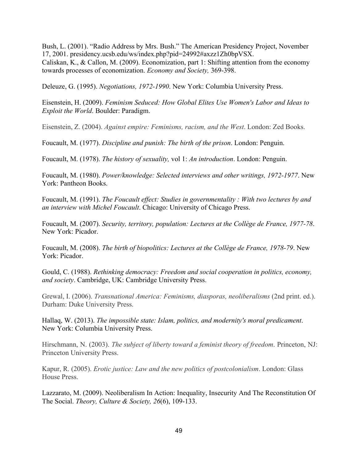Bush, L. (2001). "Radio Address by Mrs. Bush." The American Presidency Project, November 17, 2001. presidency.ucsb.edu/ws/index.php?pid=24992#axzz1Zh0bpVSX. Caliskan, K., & Callon, M. (2009). Economization, part 1: Shifting attention from the economy towards processes of economization. *Economy and Society,* 369-398.

Deleuze, G. (1995). *Negotiations, 1972-1990*. New York: Columbia University Press.

Eisenstein, H. (2009). *Feminism Seduced: How Global Elites Use Women's Labor and Ideas to Exploit the World*. Boulder: Paradigm.

Eisenstein, Z. (2004). *Against empire: Feminisms, racism, and the West*. London: Zed Books.

Foucault, M. (1977). *Discipline and punish: The birth of the prison*. London: Penguin.

Foucault, M. (1978). *The history of sexuality,* vol 1: *An introduction*. London: Penguin.

Foucault, M. (1980). *Power/knowledge: Selected interviews and other writings, 1972-1977*. New York: Pantheon Books.

Foucault, M. (1991). *The Foucault effect: Studies in governmentality : With two lectures by and an interview with Michel Foucault*. Chicago: University of Chicago Press.

Foucault, M. (2007). *Security, territory, population: Lectures at the Collège de France, 1977-78*. New York: Picador.

Foucault, M. (2008). *The birth of biopolitics: Lectures at the Collège de France, 1978-79*. New York: Picador.

Gould, C. (1988). *Rethinking democracy: Freedom and social cooperation in politics, economy, and society*. Cambridge, UK: Cambridge University Press.

Grewal, I. (2006). *Transnational America: Feminisms, diasporas, neoliberalisms* (2nd print. ed.). Durham: Duke University Press.

Hallaq, W. (2013). *The impossible state: Islam, politics, and modernity's moral predicament*. New York: Columbia University Press.

Hirschmann, N. (2003). *The subject of liberty toward a feminist theory of freedom*. Princeton, NJ: Princeton University Press.

Kapur, R. (2005). *Erotic justice: Law and the new politics of postcolonialism*. London: Glass House Press.

Lazzarato, M. (2009). Neoliberalism In Action: Inequality, Insecurity And The Reconstitution Of The Social. *Theory, Culture & Society, 26*(6), 109-133.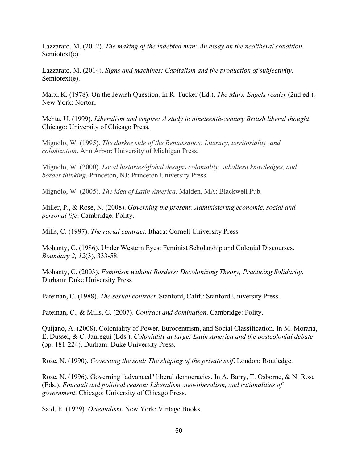Lazzarato, M. (2012). *The making of the indebted man: An essay on the neoliberal condition*. Semiotext(e).

Lazzarato, M. (2014). *Signs and machines: Capitalism and the production of subjectivity*. Semiotext(e).

Marx, K. (1978). On the Jewish Question. In R. Tucker (Ed.), *The Marx-Engels reader* (2nd ed.). New York: Norton.

Mehta, U. (1999). *Liberalism and empire: A study in nineteenth-century British liberal thought*. Chicago: University of Chicago Press.

Mignolo, W. (1995). *The darker side of the Renaissance: Literacy, territoriality, and colonization*. Ann Arbor: University of Michigan Press.

Mignolo, W. (2000). *Local histories/global designs coloniality, subaltern knowledges, and border thinking*. Princeton, NJ: Princeton University Press.

Mignolo, W. (2005). *The idea of Latin America*. Malden, MA: Blackwell Pub.

Miller, P., & Rose, N. (2008). *Governing the present: Administering economic, social and personal life*. Cambridge: Polity.

Mills, C. (1997). *The racial contract*. Ithaca: Cornell University Press.

Mohanty, C. (1986). Under Western Eyes: Feminist Scholarship and Colonial Discourses. *Boundary 2, 12*(3), 333-58.

Mohanty, C. (2003). *Feminism without Borders: Decolonizing Theory, Practicing Solidarity*. Durham: Duke University Press.

Pateman, C. (1988). *The sexual contract*. Stanford, Calif.: Stanford University Press.

Pateman, C., & Mills, C. (2007). *Contract and domination*. Cambridge: Polity.

Quijano, A. (2008). Coloniality of Power, Eurocentrism, and Social Classification. In M. Morana, E. Dussel, & C. Jauregui (Eds.), *Coloniality at large: Latin America and the postcolonial debate* (pp. 181-224). Durham: Duke University Press.

Rose, N. (1990). *Governing the soul: The shaping of the private self*. London: Routledge.

Rose, N. (1996). Governing "advanced" liberal democracies. In A. Barry, T. Osborne, & N. Rose (Eds.), *Foucault and political reason: Liberalism, neo-liberalism, and rationalities of government*. Chicago: University of Chicago Press.

Said, E. (1979). *Orientalism*. New York: Vintage Books.